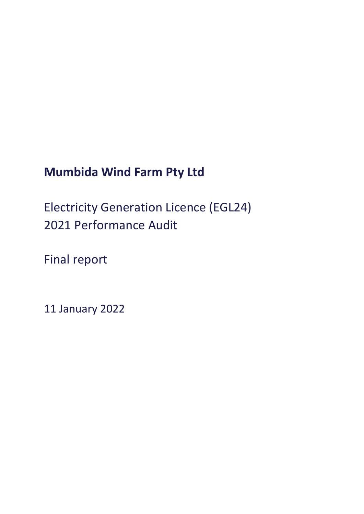# **Mumbida Wind Farm Pty Ltd**

Electricity Generation Licence (EGL24) 2021 Performance Audit

Final report

11 January 2022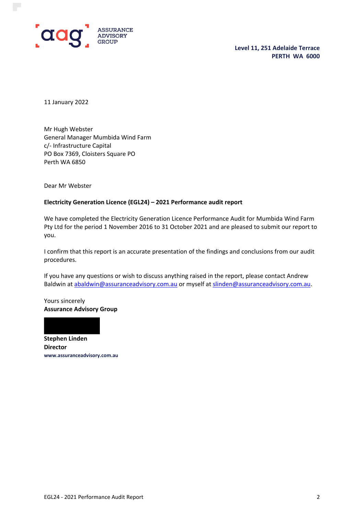

**Level 11, 251 Adelaide Terrace PERTH WA 6000**

11 January 2022

Mr Hugh Webster General Manager Mumbida Wind Farm c/- Infrastructure Capital PO Box 7369, Cloisters Square PO Perth WA 6850

Dear Mr Webster

#### **Electricity Generation Licence (EGL24) – 2021 Performance audit report**

We have completed the Electricity Generation Licence Performance Audit for Mumbida Wind Farm Pty Ltd for the period 1 November 2016 to 31 October 2021 and are pleased to submit our report to you.

I confirm that this report is an accurate presentation of the findings and conclusions from our audit procedures.

If you have any questions or wish to discuss anything raised in the report, please contact Andrew Baldwin at [abaldwin@assuranceadvisory.com.au](mailto:abaldwin@assuranceadvisory.com.au) or myself at [slinden@assuranceadvisory.com.au.](mailto:slinden@assuranceadvisory.com.au)

Yours sincerely **Assurance Advisory Group**



**Director www.assuranceadvisory.com.au**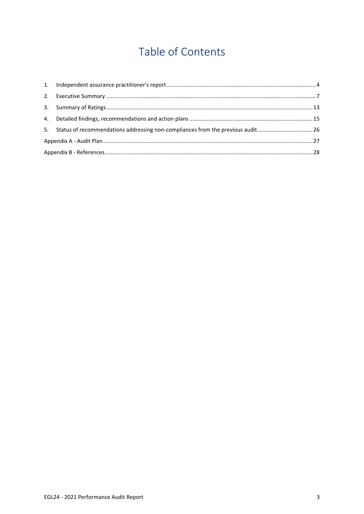# Table of Contents

| 5. Status of recommendations addressing non-compliances from the previous audit26 |  |
|-----------------------------------------------------------------------------------|--|
|                                                                                   |  |
|                                                                                   |  |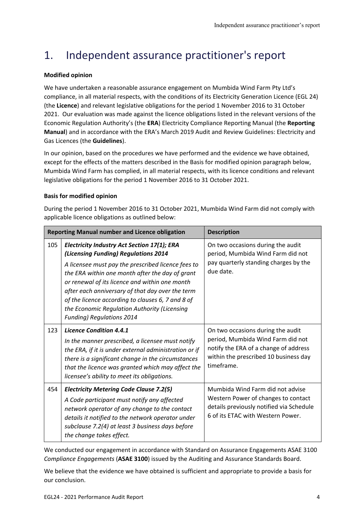## <span id="page-3-0"></span>1. Independent assurance practitioner's report

## **Modified opinion**

We have undertaken a reasonable assurance engagement on Mumbida Wind Farm Pty Ltd's compliance, in all material respects, with the conditions of its Electricity Generation Licence (EGL 24) (the **Licence**) and relevant legislative obligations for the period 1 November 2016 to 31 October 2021. Our evaluation was made against the licence obligations listed in the relevant versions of the Economic Regulation Authority's (the **ERA**) Electricity Compliance Reporting Manual (the **Reporting Manual**) and in accordance with the ERA's March 2019 Audit and Review Guidelines: Electricity and Gas Licences (the **Guidelines**).

In our opinion, based on the procedures we have performed and the evidence we have obtained, except for the effects of the matters described in the Basis for modified opinion paragraph below, Mumbida Wind Farm has complied, in all material respects, with its licence conditions and relevant legislative obligations for the period 1 November 2016 to 31 October 2021.

## **Basis for modified opinion**

During the period 1 November 2016 to 31 October 2021, Mumbida Wind Farm did not comply with applicable licence obligations as outlined below:

|     | <b>Reporting Manual number and Licence obligation</b>                                                                                                                                                                                                                                                                                                                                                                                              | <b>Description</b>                                                                                                                                                     |
|-----|----------------------------------------------------------------------------------------------------------------------------------------------------------------------------------------------------------------------------------------------------------------------------------------------------------------------------------------------------------------------------------------------------------------------------------------------------|------------------------------------------------------------------------------------------------------------------------------------------------------------------------|
| 105 | <b>Electricity Industry Act Section 17(1); ERA</b><br>(Licensing Funding) Regulations 2014<br>A licensee must pay the prescribed licence fees to<br>the ERA within one month after the day of grant<br>or renewal of its licence and within one month<br>after each anniversary of that day over the term<br>of the licence according to clauses 6, 7 and 8 of<br>the Economic Regulation Authority (Licensing<br><b>Funding) Regulations 2014</b> | On two occasions during the audit<br>period, Mumbida Wind Farm did not<br>pay quarterly standing charges by the<br>due date.                                           |
| 123 | <b>Licence Condition 4.4.1</b><br>In the manner prescribed, a licensee must notify<br>the ERA, if it is under external administration or if<br>there is a significant change in the circumstances<br>that the licence was granted which may affect the<br>licensee's ability to meet its obligations.                                                                                                                                              | On two occasions during the audit<br>period, Mumbida Wind Farm did not<br>notify the ERA of a change of address<br>within the prescribed 10 business day<br>timeframe. |
| 454 | <b>Electricity Metering Code Clause 7.2(5)</b><br>A Code participant must notify any affected<br>network operator of any change to the contact<br>details it notified to the network operator under<br>subclause 7.2(4) at least 3 business days before<br>the change takes effect.                                                                                                                                                                | Mumbida Wind Farm did not advise<br>Western Power of changes to contact<br>details previously notified via Schedule<br>6 of its ETAC with Western Power.               |

We conducted our engagement in accordance with Standard on Assurance Engagements ASAE 3100 *Compliance Engagements* (**ASAE 3100**) issued by the Auditing and Assurance Standards Board.

We believe that the evidence we have obtained is sufficient and appropriate to provide a basis for our conclusion.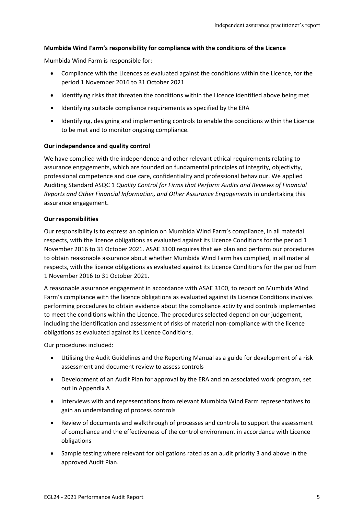## **Mumbida Wind Farm's responsibility for compliance with the conditions of the Licence**

Mumbida Wind Farm is responsible for:

- Compliance with the Licences as evaluated against the conditions within the Licence, for the period 1 November 2016 to 31 October 2021
- Identifying risks that threaten the conditions within the Licence identified above being met
- Identifying suitable compliance requirements as specified by the ERA
- Identifying, designing and implementing controls to enable the conditions within the Licence to be met and to monitor ongoing compliance.

#### **Our independence and quality control**

We have complied with the independence and other relevant ethical requirements relating to assurance engagements, which are founded on fundamental principles of integrity, objectivity, professional competence and due care, confidentiality and professional behaviour. We applied Auditing Standard ASQC 1 *Quality Control for Firms that Perform Audits and Reviews of Financial Reports and Other Financial Information, and Other Assurance Engagements* in undertaking this assurance engagement.

#### **Our responsibilities**

Our responsibility is to express an opinion on Mumbida Wind Farm's compliance, in all material respects, with the licence obligations as evaluated against its Licence Conditions for the period 1 November 2016 to 31 October 2021. ASAE 3100 requires that we plan and perform our procedures to obtain reasonable assurance about whether Mumbida Wind Farm has complied, in all material respects, with the licence obligations as evaluated against its Licence Conditions for the period from 1 November 2016 to 31 October 2021.

A reasonable assurance engagement in accordance with ASAE 3100, to report on Mumbida Wind Farm's compliance with the licence obligations as evaluated against its Licence Conditions involves performing procedures to obtain evidence about the compliance activity and controls implemented to meet the conditions within the Licence. The procedures selected depend on our judgement, including the identification and assessment of risks of material non-compliance with the licence obligations as evaluated against its Licence Conditions.

Our procedures included:

- Utilising the Audit Guidelines and the Reporting Manual as a guide for development of a risk assessment and document review to assess controls
- Development of an Audit Plan for approval by the ERA and an associated work program, set out in Appendix A
- Interviews with and representations from relevant Mumbida Wind Farm representatives to gain an understanding of process controls
- Review of documents and walkthrough of processes and controls to support the assessment of compliance and the effectiveness of the control environment in accordance with Licence obligations
- Sample testing where relevant for obligations rated as an audit priority 3 and above in the approved Audit Plan.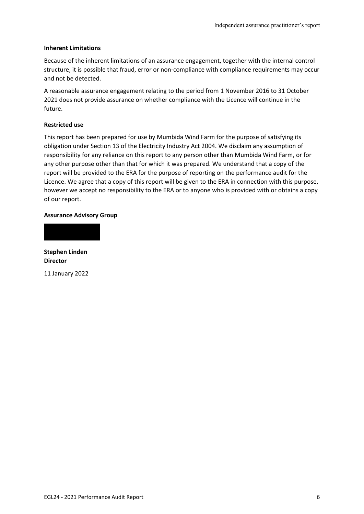#### **Inherent Limitations**

Because of the inherent limitations of an assurance engagement, together with the internal control structure, it is possible that fraud, error or non-compliance with compliance requirements may occur and not be detected.

A reasonable assurance engagement relating to the period from 1 November 2016 to 31 October 2021 does not provide assurance on whether compliance with the Licence will continue in the future.

## **Restricted use**

This report has been prepared for use by Mumbida Wind Farm for the purpose of satisfying its obligation under Section 13 of the Electricity Industry Act 2004. We disclaim any assumption of responsibility for any reliance on this report to any person other than Mumbida Wind Farm, or for any other purpose other than that for which it was prepared. We understand that a copy of the report will be provided to the ERA for the purpose of reporting on the performance audit for the Licence. We agree that a copy of this report will be given to the ERA in connection with this purpose, however we accept no responsibility to the ERA or to anyone who is provided with or obtains a copy of our report.

#### **Assurance Advisory Group**

**Stephen Linden Director**

11 January 2022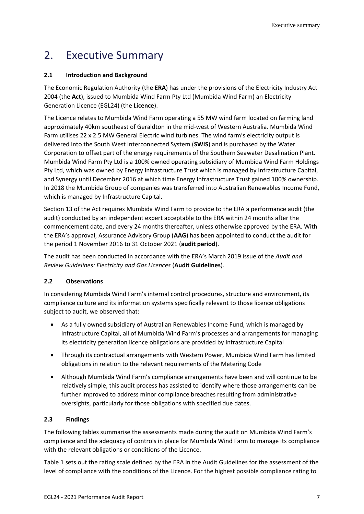## <span id="page-6-0"></span>2. Executive Summary

## **2.1 Introduction and Background**

The Economic Regulation Authority (the **ERA**) has under the provisions of the Electricity Industry Act 2004 (the **Act**), issued to Mumbida Wind Farm Pty Ltd (Mumbida Wind Farm) an Electricity Generation Licence (EGL24) (the **Licence**).

The Licence relates to Mumbida Wind Farm operating a 55 MW wind farm located on farming land approximately 40km southeast of Geraldton in the mid-west of Western Australia. Mumbida Wind Farm utilises 22 x 2.5 MW General Electric wind turbines. The wind farm's electricity output is delivered into the South West Interconnected System (**SWIS**) and is purchased by the Water Corporation to offset part of the energy requirements of the Southern Seawater Desalination Plant. Mumbida Wind Farm Pty Ltd is a 100% owned operating subsidiary of Mumbida Wind Farm Holdings Pty Ltd, which was owned by Energy Infrastructure Trust which is managed by Infrastructure Capital, and Synergy until December 2016 at which time Energy Infrastructure Trust gained 100% ownership. In 2018 the Mumbida Group of companies was transferred into Australian Renewables Income Fund, which is managed by Infrastructure Capital.

Section 13 of the Act requires Mumbida Wind Farm to provide to the ERA a performance audit (the audit) conducted by an independent expert acceptable to the ERA within 24 months after the commencement date, and every 24 months thereafter, unless otherwise approved by the ERA. With the ERA's approval, Assurance Advisory Group (**AAG**) has been appointed to conduct the audit for the period 1 November 2016 to 31 October 2021 (**audit period**).

The audit has been conducted in accordance with the ERA's March 2019 issue of the *Audit and Review Guidelines: Electricity and Gas Licences* (**Audit Guidelines**).

## **2.2 Observations**

In considering Mumbida Wind Farm's internal control procedures, structure and environment, its compliance culture and its information systems specifically relevant to those licence obligations subject to audit, we observed that:

- As a fully owned subsidiary of Australian Renewables Income Fund, which is managed by Infrastructure Capital, all of Mumbida Wind Farm's processes and arrangements for managing its electricity generation licence obligations are provided by Infrastructure Capital
- Through its contractual arrangements with Western Power, Mumbida Wind Farm has limited obligations in relation to the relevant requirements of the Metering Code
- Although Mumbida Wind Farm's compliance arrangements have been and will continue to be relatively simple, this audit process has assisted to identify where those arrangements can be further improved to address minor compliance breaches resulting from administrative oversights, particularly for those obligations with specified due dates.

## **2.3 Findings**

The following tables summarise the assessments made during the audit on Mumbida Wind Farm's compliance and the adequacy of controls in place for Mumbida Wind Farm to manage its compliance with the relevant obligations or conditions of the Licence.

Table 1 sets out the rating scale defined by the ERA in the Audit Guidelines for the assessment of the level of compliance with the conditions of the Licence. For the highest possible compliance rating to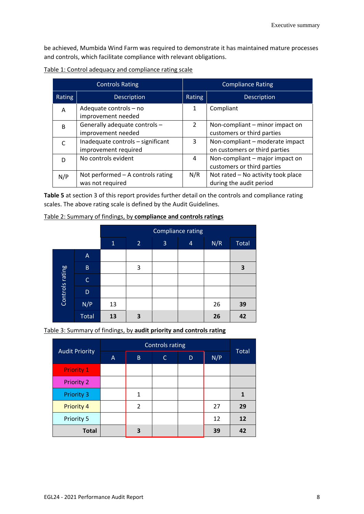be achieved, Mumbida Wind Farm was required to demonstrate it has maintained mature processes and controls, which facilitate compliance with relevant obligations.

|              | <b>Controls Rating</b>                                    | <b>Compliance Rating</b> |                                                                  |  |  |  |
|--------------|-----------------------------------------------------------|--------------------------|------------------------------------------------------------------|--|--|--|
| Rating       | Description                                               | Rating                   | Description                                                      |  |  |  |
| Α            | Adequate controls - no<br>improvement needed              | 1                        | Compliant                                                        |  |  |  |
| <sub>R</sub> | Generally adequate controls -<br>improvement needed       | $\mathcal{P}$            | Non-compliant – minor impact on<br>customers or third parties    |  |  |  |
|              | Inadequate controls - significant<br>improvement required | 3                        | Non-compliant - moderate impact<br>on customers or third parties |  |  |  |
|              | No controls evident                                       | 4                        | Non-compliant – major impact on<br>customers or third parties    |  |  |  |
| N/P          | Not performed - A controls rating<br>was not required     | N/R                      | Not rated - No activity took place<br>during the audit period    |  |  |  |

| Table 1: Control adequacy and compliance rating scale |
|-------------------------------------------------------|
|-------------------------------------------------------|

**Table 5** at section 3 of this report provides further detail on the controls and compliance rating scales. The above rating scale is defined by the Audit Guidelines.

| Table 2: Summary of findings, by compliance and controls ratings |
|------------------------------------------------------------------|
|------------------------------------------------------------------|

|                 |              | <b>Compliance rating</b> |                |   |                |     |       |  |  |  |  |
|-----------------|--------------|--------------------------|----------------|---|----------------|-----|-------|--|--|--|--|
|                 |              | $\mathbf{1}$             | $\overline{2}$ | 3 | $\overline{4}$ | N/R | Total |  |  |  |  |
|                 | $\mathsf{A}$ |                          |                |   |                |     |       |  |  |  |  |
|                 | $\sf B$      |                          | 3              |   |                |     | 3     |  |  |  |  |
|                 | C            |                          |                |   |                |     |       |  |  |  |  |
| Controls rating | D            |                          |                |   |                |     |       |  |  |  |  |
|                 | N/P          | 13                       |                |   |                | 26  | 39    |  |  |  |  |
|                 | <b>Total</b> | 13                       | 3              |   |                | 26  | 42    |  |  |  |  |

Table 3: Summary of findings, by **audit priority and controls rating**

|                       |   | <b>Controls rating</b> |              |   |     |       |  |  |  |  |
|-----------------------|---|------------------------|--------------|---|-----|-------|--|--|--|--|
| <b>Audit Priority</b> | Α | B                      | $\mathsf{C}$ | D | N/P | Total |  |  |  |  |
| <b>Priority 1</b>     |   |                        |              |   |     |       |  |  |  |  |
| <b>Priority 2</b>     |   |                        |              |   |     |       |  |  |  |  |
| <b>Priority 3</b>     |   | 1                      |              |   |     |       |  |  |  |  |
| <b>Priority 4</b>     |   | 2                      |              |   | 27  | 29    |  |  |  |  |
| Priority 5            |   |                        |              |   | 12  | 12    |  |  |  |  |
| <b>Total</b>          |   | כ                      |              |   | 39  | 42    |  |  |  |  |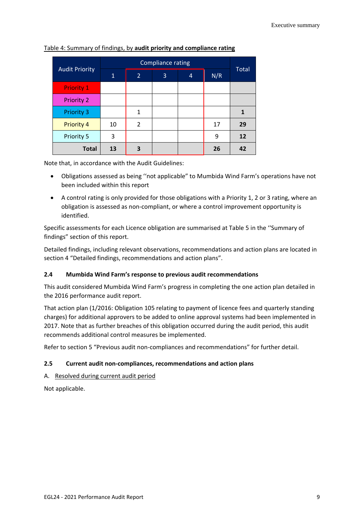|                       |    | <b>Compliance rating</b> |   |   |     |              |
|-----------------------|----|--------------------------|---|---|-----|--------------|
| <b>Audit Priority</b> | 1  | $\overline{2}$           | 3 | 4 | N/R | <b>Total</b> |
| <b>Priority 1</b>     |    |                          |   |   |     |              |
| <b>Priority 2</b>     |    |                          |   |   |     |              |
| <b>Priority 3</b>     |    | $\mathbf{1}$             |   |   |     |              |
| <b>Priority 4</b>     | 10 | 2                        |   |   | 17  | 29           |
| Priority 5            | 3  |                          |   |   | 9   | 12           |
| <b>Total</b>          | 13 | 3                        |   |   | 26  | 42           |

Table 4: Summary of findings, by **audit priority and compliance rating**

Note that, in accordance with the Audit Guidelines:

- Obligations assessed as being ''not applicable" to Mumbida Wind Farm's operations have not been included within this report
- A control rating is only provided for those obligations with a Priority 1, 2 or 3 rating, where an obligation is assessed as non-compliant, or where a control improvement opportunity is identified.

Specific assessments for each Licence obligation are summarised at Table 5 in the ''Summary of findings" section of this report.

Detailed findings, including relevant observations, recommendations and action plans are located in section 4 "Detailed findings, recommendations and action plans".

## **2.4 Mumbida Wind Farm's response to previous audit recommendations**

This audit considered Mumbida Wind Farm's progress in completing the one action plan detailed in the 2016 performance audit report.

That action plan (1/2016: Obligation 105 relating to payment of licence fees and quarterly standing charges) for additional approvers to be added to online approval systems had been implemented in 2017. Note that as further breaches of this obligation occurred during the audit period, this audit recommends additional control measures be implemented.

Refer to section 5 "Previous audit non-compliances and recommendations" for further detail.

### **2.5 Current audit non-compliances, recommendations and action plans**

A. Resolved during current audit period

Not applicable.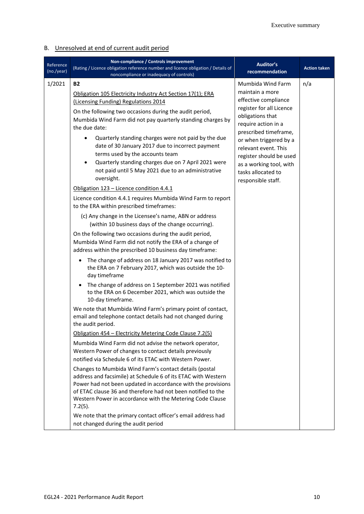## B. Unresolved at end of current audit period

| Reference<br>(no./year) | Non-compliance / Controls improvement<br>(Rating / Licence obligation reference number and licence obligation / Details of<br>noncompliance or inadequacy of controls)                                                                                                                                                                                                                                                                                                                                                                                                                                                                                                                                                                                                                                                                                                                                                                                                                                                                                                                                                                                                                                                                                                                                                                                                                                                                                                                                           | Auditor's<br>recommendation                                                                                                                                                                                                                                                                                      | <b>Action taken</b> |
|-------------------------|------------------------------------------------------------------------------------------------------------------------------------------------------------------------------------------------------------------------------------------------------------------------------------------------------------------------------------------------------------------------------------------------------------------------------------------------------------------------------------------------------------------------------------------------------------------------------------------------------------------------------------------------------------------------------------------------------------------------------------------------------------------------------------------------------------------------------------------------------------------------------------------------------------------------------------------------------------------------------------------------------------------------------------------------------------------------------------------------------------------------------------------------------------------------------------------------------------------------------------------------------------------------------------------------------------------------------------------------------------------------------------------------------------------------------------------------------------------------------------------------------------------|------------------------------------------------------------------------------------------------------------------------------------------------------------------------------------------------------------------------------------------------------------------------------------------------------------------|---------------------|
| 1/2021                  | <b>B2</b><br>Obligation 105 Electricity Industry Act Section 17(1); ERA<br>(Licensing Funding) Regulations 2014<br>On the following two occasions during the audit period,<br>Mumbida Wind Farm did not pay quarterly standing charges by<br>the due date:<br>Quarterly standing charges were not paid by the due<br>date of 30 January 2017 due to incorrect payment<br>terms used by the accounts team<br>Quarterly standing charges due on 7 April 2021 were<br>not paid until 5 May 2021 due to an administrative<br>oversight.<br>Obligation 123 - Licence condition 4.4.1<br>Licence condition 4.4.1 requires Mumbida Wind Farm to report<br>to the ERA within prescribed timeframes:<br>(c) Any change in the Licensee's name, ABN or address<br>(within 10 business days of the change occurring).<br>On the following two occasions during the audit period,<br>Mumbida Wind Farm did not notify the ERA of a change of<br>address within the prescribed 10 business day timeframe:<br>The change of address on 18 January 2017 was notified to<br>$\bullet$<br>the ERA on 7 February 2017, which was outside the 10-<br>day timeframe<br>The change of address on 1 September 2021 was notified<br>$\bullet$<br>to the ERA on 6 December 2021, which was outside the<br>10-day timeframe.<br>We note that Mumbida Wind Farm's primary point of contact,<br>email and telephone contact details had not changed during<br>the audit period.<br>Obligation 454 - Electricity Metering Code Clause 7.2(5) | Mumbida Wind Farm<br>maintain a more<br>effective compliance<br>register for all Licence<br>obligations that<br>require action in a<br>prescribed timeframe,<br>or when triggered by a<br>relevant event. This<br>register should be used<br>as a working tool, with<br>tasks allocated to<br>responsible staff. | n/a                 |
|                         | Mumbida Wind Farm did not advise the network operator,<br>Western Power of changes to contact details previously<br>notified via Schedule 6 of its ETAC with Western Power.<br>Changes to Mumbida Wind Farm's contact details (postal<br>address and facsimile) at Schedule 6 of its ETAC with Western<br>Power had not been updated in accordance with the provisions<br>of ETAC clause 36 and therefore had not been notified to the<br>Western Power in accordance with the Metering Code Clause<br>$7.2(5)$ .<br>We note that the primary contact officer's email address had<br>not changed during the audit period                                                                                                                                                                                                                                                                                                                                                                                                                                                                                                                                                                                                                                                                                                                                                                                                                                                                                         |                                                                                                                                                                                                                                                                                                                  |                     |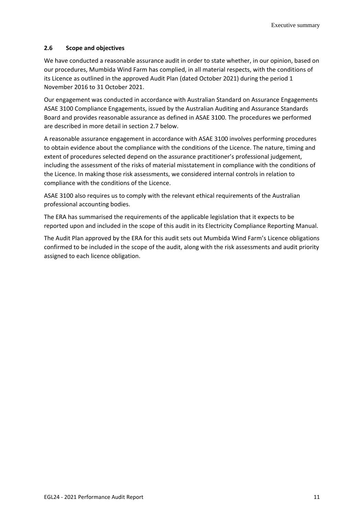#### **2.6 Scope and objectives**

We have conducted a reasonable assurance audit in order to state whether, in our opinion, based on our procedures, Mumbida Wind Farm has complied, in all material respects, with the conditions of its Licence as outlined in the approved Audit Plan (dated October 2021) during the period 1 November 2016 to 31 October 2021.

Our engagement was conducted in accordance with Australian Standard on Assurance Engagements ASAE 3100 Compliance Engagements, issued by the Australian Auditing and Assurance Standards Board and provides reasonable assurance as defined in ASAE 3100. The procedures we performed are described in more detail in section 2.7 below.

A reasonable assurance engagement in accordance with ASAE 3100 involves performing procedures to obtain evidence about the compliance with the conditions of the Licence. The nature, timing and extent of procedures selected depend on the assurance practitioner's professional judgement, including the assessment of the risks of material misstatement in compliance with the conditions of the Licence. In making those risk assessments, we considered internal controls in relation to compliance with the conditions of the Licence.

ASAE 3100 also requires us to comply with the relevant ethical requirements of the Australian professional accounting bodies.

The ERA has summarised the requirements of the applicable legislation that it expects to be reported upon and included in the scope of this audit in its Electricity Compliance Reporting Manual.

The Audit Plan approved by the ERA for this audit sets out Mumbida Wind Farm's Licence obligations confirmed to be included in the scope of the audit, along with the risk assessments and audit priority assigned to each licence obligation.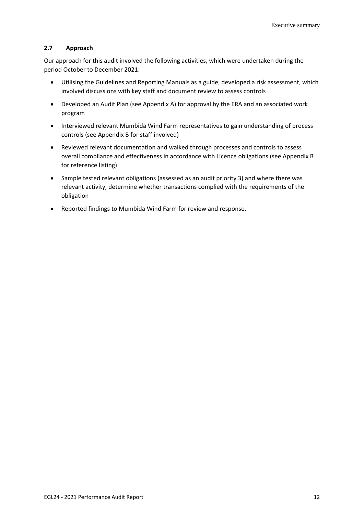## **2.7 Approach**

Our approach for this audit involved the following activities, which were undertaken during the period October to December 2021:

- Utilising the Guidelines and Reporting Manuals as a guide, developed a risk assessment, which involved discussions with key staff and document review to assess controls
- Developed an Audit Plan (see Appendix A) for approval by the ERA and an associated work program
- Interviewed relevant Mumbida Wind Farm representatives to gain understanding of process controls (see Appendix B for staff involved)
- Reviewed relevant documentation and walked through processes and controls to assess overall compliance and effectiveness in accordance with Licence obligations (see Appendix B for reference listing)
- Sample tested relevant obligations (assessed as an audit priority 3) and where there was relevant activity, determine whether transactions complied with the requirements of the obligation
- Reported findings to Mumbida Wind Farm for review and response.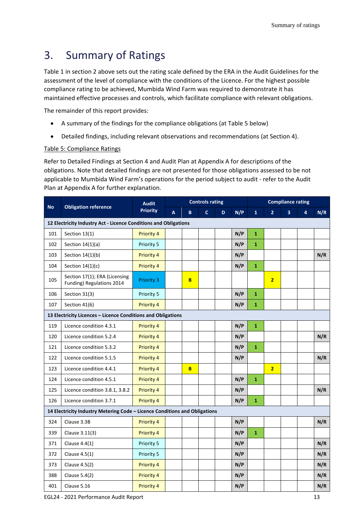## <span id="page-12-0"></span>3. Summary of Ratings

Table 1 in section 2 above sets out the rating scale defined by the ERA in the Audit Guidelines for the assessment of the level of compliance with the conditions of the Licence. For the highest possible compliance rating to be achieved, Mumbida Wind Farm was required to demonstrate it has maintained effective processes and controls, which facilitate compliance with relevant obligations.

The remainder of this report provides:

- A summary of the findings for the compliance obligations (at Table 5 below)
- Detailed findings, including relevant observations and recommendations (at Section 4).

## Table 5: Compliance Ratings

Refer to Detailed Findings at Section 4 and Audit Plan at Appendix A for descriptions of the obligations. Note that detailed findings are not presented for those obligations assessed to be not applicable to Mumbida Wind Farm's operations for the period subject to audit - refer to the Audit Plan at Appendix A for further explanation.

| <b>No</b> | <b>Obligation reference</b>                                                | <b>Audit</b>      |   |   | <b>Controls rating</b> |   |     |              |                | <b>Compliance rating</b> |   |     |
|-----------|----------------------------------------------------------------------------|-------------------|---|---|------------------------|---|-----|--------------|----------------|--------------------------|---|-----|
|           |                                                                            | <b>Priority</b>   | A | B | $\mathsf{C}$           | D | N/P | $\mathbf{1}$ | $\overline{2}$ | 3                        | 4 | N/R |
|           | 12 Electricity Industry Act - Licence Conditions and Obligations           |                   |   |   |                        |   |     |              |                |                          |   |     |
| 101       | Section 13(1)                                                              | Priority 4        |   |   |                        |   | N/P | $\mathbf{1}$ |                |                          |   |     |
| 102       | Section $14(1)(a)$                                                         | Priority 5        |   |   |                        |   | N/P | $\mathbf{1}$ |                |                          |   |     |
| 103       | Section 14(1)(b)                                                           | Priority 4        |   |   |                        |   | N/P |              |                |                          |   | N/R |
| 104       | Section $14(1)(c)$                                                         | Priority 4        |   |   |                        |   | N/P | $\mathbf{1}$ |                |                          |   |     |
| 105       | Section 17(1); ERA (Licensing<br>Funding) Regulations 2014                 | <b>Priority 3</b> |   | B |                        |   |     |              | $\overline{2}$ |                          |   |     |
| 106       | Section 31(3)                                                              | Priority 5        |   |   |                        |   | N/P | $\mathbf{1}$ |                |                          |   |     |
| 107       | Section 41(6)                                                              | Priority 4        |   |   |                        |   | N/P | $\mathbf{1}$ |                |                          |   |     |
|           | 13 Electricity Licences - Licence Conditions and Obligations               |                   |   |   |                        |   |     |              |                |                          |   |     |
| 119       | Licence condition 4.3.1                                                    | Priority 4        |   |   |                        |   | N/P | $\mathbf{1}$ |                |                          |   |     |
| 120       | Licence condition 5.2.4                                                    | Priority 4        |   |   |                        |   | N/P |              |                |                          |   | N/R |
| 121       | Licence condition 5.3.2                                                    | Priority 4        |   |   |                        |   | N/P | $\mathbf{1}$ |                |                          |   |     |
| 122       | Licence condition 5.1.5                                                    | Priority 4        |   |   |                        |   | N/P |              |                |                          |   | N/R |
| 123       | Licence condition 4.4.1                                                    | Priority 4        |   | B |                        |   |     |              | $\overline{2}$ |                          |   |     |
| 124       | Licence condition 4.5.1                                                    | Priority 4        |   |   |                        |   | N/P | $\mathbf{1}$ |                |                          |   |     |
| 125       | Licence condition 3.8.1, 3.8.2                                             | Priority 4        |   |   |                        |   | N/P |              |                |                          |   | N/R |
| 126       | Licence condition 3.7.1                                                    | <b>Priority 4</b> |   |   |                        |   | N/P | $\mathbf{1}$ |                |                          |   |     |
|           | 14 Electricity Industry Metering Code - Licence Conditions and Obligations |                   |   |   |                        |   |     |              |                |                          |   |     |
| 324       | Clause 3.3B                                                                | <b>Priority 4</b> |   |   |                        |   | N/P |              |                |                          |   | N/R |
| 339       | Clause 3.11(3)                                                             | Priority 4        |   |   |                        |   | N/P | $\mathbf{1}$ |                |                          |   |     |
| 371       | Clause 4.4(1)                                                              | Priority 5        |   |   |                        |   | N/P |              |                |                          |   | N/R |
| 372       | Clause 4.5(1)                                                              | Priority 5        |   |   |                        |   | N/P |              |                |                          |   | N/R |
| 373       | Clause 4.5(2)                                                              | Priority 4        |   |   |                        |   | N/P |              |                |                          |   | N/R |
| 388       | Clause 5.4(2)                                                              | <b>Priority 4</b> |   |   |                        |   | N/P |              |                |                          |   | N/R |
| 401       | Clause 5.16                                                                | Priority 4        |   |   |                        |   | N/P |              |                |                          |   | N/R |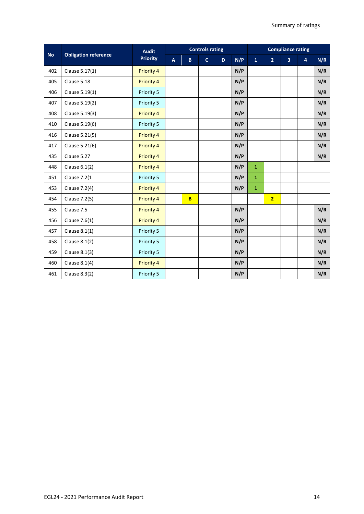|           |                             | <b>Audit</b>      |              | <b>Controls rating</b> |              | <b>Compliance rating</b> |     |              |                |                         |                |     |
|-----------|-----------------------------|-------------------|--------------|------------------------|--------------|--------------------------|-----|--------------|----------------|-------------------------|----------------|-----|
| <b>No</b> | <b>Obligation reference</b> | <b>Priority</b>   | $\mathbf{A}$ | B                      | $\mathbf{C}$ | D.                       | N/P | $\mathbf{1}$ | $\overline{2}$ | $\overline{\mathbf{3}}$ | $\overline{4}$ | N/R |
| 402       | Clause 5.17(1)              | Priority 4        |              |                        |              |                          | N/P |              |                |                         |                | N/R |
| 405       | Clause 5.18                 | Priority 4        |              |                        |              |                          | N/P |              |                |                         |                | N/R |
| 406       | Clause 5.19(1)              | Priority 5        |              |                        |              |                          | N/P |              |                |                         |                | N/R |
| 407       | Clause 5.19(2)              | Priority 5        |              |                        |              |                          | N/P |              |                |                         |                | N/R |
| 408       | Clause 5.19(3)              | Priority 4        |              |                        |              |                          | N/P |              |                |                         |                | N/R |
| 410       | Clause 5.19(6)              | Priority 5        |              |                        |              |                          | N/P |              |                |                         |                | N/R |
| 416       | Clause 5.21(5)              | Priority 4        |              |                        |              |                          | N/P |              |                |                         |                | N/R |
| 417       | Clause 5.21(6)              | Priority 4        |              |                        |              |                          | N/P |              |                |                         |                | N/R |
| 435       | Clause 5.27                 | <b>Priority 4</b> |              |                        |              |                          | N/P |              |                |                         |                | N/R |
| 448       | Clause 6.1(2)               | Priority 4        |              |                        |              |                          | N/P | $\mathbf{1}$ |                |                         |                |     |
| 451       | <b>Clause 7.2(1</b>         | Priority 5        |              |                        |              |                          | N/P | $\mathbf{1}$ |                |                         |                |     |
| 453       | Clause 7.2(4)               | Priority 4        |              |                        |              |                          | N/P | $\mathbf{1}$ |                |                         |                |     |
| 454       | Clause 7.2(5)               | <b>Priority 4</b> |              | B                      |              |                          |     |              | $\overline{2}$ |                         |                |     |
| 455       | Clause 7.5                  | Priority 4        |              |                        |              |                          | N/P |              |                |                         |                | N/R |
| 456       | Clause 7.6(1)               | <b>Priority 4</b> |              |                        |              |                          | N/P |              |                |                         |                | N/R |
| 457       | Clause $8.1(1)$             | Priority 5        |              |                        |              |                          | N/P |              |                |                         |                | N/R |
| 458       | Clause 8.1(2)               | Priority 5        |              |                        |              |                          | N/P |              |                |                         |                | N/R |
| 459       | Clause 8.1(3)               | Priority 5        |              |                        |              |                          | N/P |              |                |                         |                | N/R |
| 460       | Clause $8.1(4)$             | <b>Priority 4</b> |              |                        |              |                          | N/P |              |                |                         |                | N/R |
| 461       | Clause 8.3(2)               | Priority 5        |              |                        |              |                          | N/P |              |                |                         |                | N/R |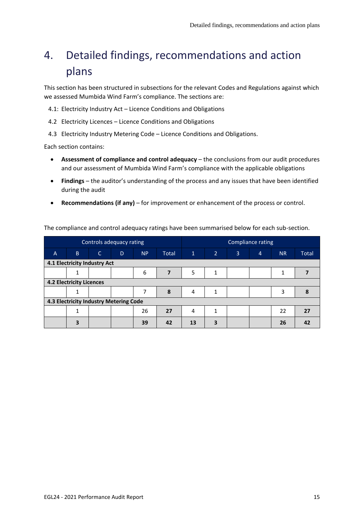# <span id="page-14-0"></span>4. Detailed findings, recommendations and action plans

This section has been structured in subsections for the relevant Codes and Regulations against which we assessed Mumbida Wind Farm's compliance. The sections are:

4.1: Electricity Industry Act – Licence Conditions and Obligations

- 4.2 Electricity Licences Licence Conditions and Obligations
- 4.3 Electricity Industry Metering Code Licence Conditions and Obligations.

Each section contains:

- **Assessment of compliance and control adequacy** the conclusions from our audit procedures and our assessment of Mumbida Wind Farm's compliance with the applicable obligations
- **Findings** the auditor's understanding of the process and any issues that have been identified during the audit
- **Recommendations (if any)** for improvement or enhancement of the process or control.

The compliance and control adequacy ratings have been summarised below for each sub-section.

|                              |                                        |              | Controls adequacy rating |           |                         | Compliance rating |                |                |                |           |              |  |
|------------------------------|----------------------------------------|--------------|--------------------------|-----------|-------------------------|-------------------|----------------|----------------|----------------|-----------|--------------|--|
| $\overline{A}$               | B.                                     | $\mathsf{C}$ | D                        | <b>NP</b> | <b>Total</b>            | $\mathbf{1}$      | $\overline{2}$ | $\overline{3}$ | $\overline{4}$ | <b>NR</b> | <b>Total</b> |  |
| 4.1 Electricity Industry Act |                                        |              |                          |           |                         |                   |                |                |                |           |              |  |
|                              | 1                                      |              |                          | 6         | $\overline{\mathbf{z}}$ | 5                 | 1              |                |                | 1         |              |  |
|                              | <b>4.2 Electricity Licences</b>        |              |                          |           |                         |                   |                |                |                |           |              |  |
|                              |                                        |              |                          |           | 8                       | 4                 | 1              |                |                | 3         | 8            |  |
|                              | 4.3 Electricity Industry Metering Code |              |                          |           |                         |                   |                |                |                |           |              |  |
|                              | 1                                      |              |                          | 26        | 27                      | 4                 | 1              |                |                | 22        | 27           |  |
|                              | 3                                      |              |                          | 39        | 42                      | 13                | 3              |                |                | 26        | 42           |  |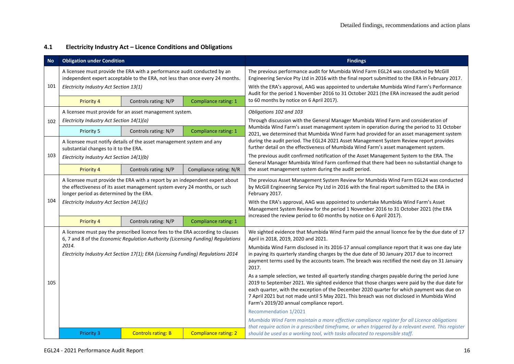## **4.1 Electricity Industry Act – Licence Conditions and Obligations**

| <b>No</b> | <b>Obligation under Condition</b>                                                                                                                                                                    |                           |                             | <b>Findings</b>                                                                                                                                                                                                                                                                                                                                                                                                                       |
|-----------|------------------------------------------------------------------------------------------------------------------------------------------------------------------------------------------------------|---------------------------|-----------------------------|---------------------------------------------------------------------------------------------------------------------------------------------------------------------------------------------------------------------------------------------------------------------------------------------------------------------------------------------------------------------------------------------------------------------------------------|
| 101       | A licensee must provide the ERA with a performance audit conducted by an<br>independent expert acceptable to the ERA, not less than once every 24 months.<br>Electricity Industry Act Section 13(1)  |                           |                             | The previous performance audit for Mumbida Wind Farm EGL24 was conducted by McGill<br>Engineering Service Pty Ltd in 2016 with the final report submitted to the ERA in February 2017.<br>With the ERA's approval, AAG was appointed to undertake Mumbida Wind Farm's Performance<br>Audit for the period 1 November 2016 to 31 October 2021 (the ERA increased the audit period                                                      |
|           | Controls rating: N/P<br>Compliance rating: 1<br>Priority 4                                                                                                                                           |                           |                             | to 60 months by notice on 6 April 2017).                                                                                                                                                                                                                                                                                                                                                                                              |
|           | A licensee must provide for an asset management system.                                                                                                                                              |                           |                             | Obligations 102 and 103                                                                                                                                                                                                                                                                                                                                                                                                               |
| 102       | Electricity Industry Act Section 14(1)(a)                                                                                                                                                            |                           |                             | Through discussion with the General Manager Mumbida Wind Farm and consideration of<br>Mumbida Wind Farm's asset management system in operation during the period to 31 October                                                                                                                                                                                                                                                        |
|           | Priority 5                                                                                                                                                                                           | Controls rating: N/P      | Compliance rating: 1        | 2021, we determined that Mumbida Wind Farm had provided for an asset management system                                                                                                                                                                                                                                                                                                                                                |
|           | A licensee must notify details of the asset management system and any<br>substantial changes to it to the ERA.                                                                                       |                           |                             | during the audit period. The EGL24 2021 Asset Management System Review report provides<br>further detail on the effectiveness of Mumbida Wind Farm's asset management system.                                                                                                                                                                                                                                                         |
| 103       | Electricity Industry Act Section 14(1)(b)                                                                                                                                                            |                           |                             | The previous audit confirmed notification of the Asset Management System to the ERA. The<br>General Manager Mumbida Wind Farm confirmed that there had been no substantial change to<br>the asset management system during the audit period.                                                                                                                                                                                          |
|           | Priority 4<br>Controls rating: N/P<br>Compliance rating: N/R                                                                                                                                         |                           |                             |                                                                                                                                                                                                                                                                                                                                                                                                                                       |
|           | A licensee must provide the ERA with a report by an independent expert about<br>the effectiveness of its asset management system every 24 months, or such<br>longer period as determined by the ERA. |                           |                             | The previous Asset Management System Review for Mumbida Wind Farm EGL24 was conducted<br>by McGill Engineering Service Pty Ltd in 2016 with the final report submitted to the ERA in<br>February 2017.                                                                                                                                                                                                                                |
| 104       | Electricity Industry Act Section 14(1)(c)                                                                                                                                                            |                           |                             | With the ERA's approval, AAG was appointed to undertake Mumbida Wind Farm's Asset<br>Management System Review for the period 1 November 2016 to 31 October 2021 (the ERA<br>increased the review period to 60 months by notice on 6 April 2017).                                                                                                                                                                                      |
|           | <b>Priority 4</b>                                                                                                                                                                                    | Controls rating: N/P      | Compliance rating: 1        |                                                                                                                                                                                                                                                                                                                                                                                                                                       |
|           | A licensee must pay the prescribed licence fees to the ERA according to clauses<br>6, 7 and 8 of the Economic Regulation Authority (Licensing Funding) Regulations                                   |                           |                             | We sighted evidence that Mumbida Wind Farm paid the annual licence fee by the due date of 17<br>April in 2018, 2019, 2020 and 2021.                                                                                                                                                                                                                                                                                                   |
|           | 2014.<br>Electricity Industry Act Section 17(1); ERA (Licensing Funding) Regulations 2014                                                                                                            |                           |                             | Mumbida Wind Farm disclosed in its 2016-17 annual compliance report that it was one day late<br>in paying its quarterly standing charges by the due date of 30 January 2017 due to incorrect<br>payment terms used by the accounts team. The breach was rectified the next day on 31 January<br>2017.                                                                                                                                 |
| 105       |                                                                                                                                                                                                      |                           |                             | As a sample selection, we tested all quarterly standing charges payable during the period June<br>2019 to September 2021. We sighted evidence that those charges were paid by the due date for<br>each quarter, with the exception of the December 2020 quarter for which payment was due on<br>7 April 2021 but not made until 5 May 2021. This breach was not disclosed in Mumbida Wind<br>Farm's 2019/20 annual compliance report. |
|           |                                                                                                                                                                                                      |                           |                             | Recommendation 1/2021                                                                                                                                                                                                                                                                                                                                                                                                                 |
|           |                                                                                                                                                                                                      |                           |                             | Mumbida Wind Farm maintain a more effective compliance register for all Licence obligations                                                                                                                                                                                                                                                                                                                                           |
|           | <b>Priority 3</b>                                                                                                                                                                                    | <b>Controls rating: B</b> | <b>Compliance rating: 2</b> | that require action in a prescribed timeframe, or when triggered by a relevant event. This register<br>should be used as a working tool, with tasks allocated to responsible staff.                                                                                                                                                                                                                                                   |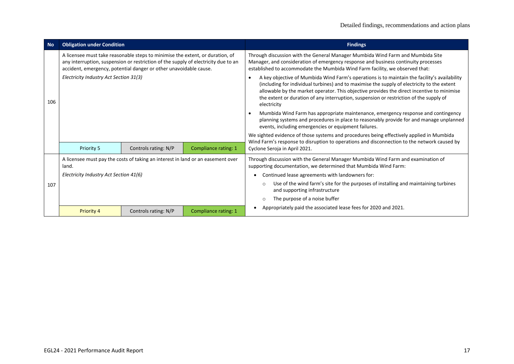| <b>No</b> | <b>Obligation under Condition</b>                                                                                                                                                                                                        |                      |                      | <b>Findings</b>                                                                                                                                                                                                                                                                                                                                                                                    |  |  |
|-----------|------------------------------------------------------------------------------------------------------------------------------------------------------------------------------------------------------------------------------------------|----------------------|----------------------|----------------------------------------------------------------------------------------------------------------------------------------------------------------------------------------------------------------------------------------------------------------------------------------------------------------------------------------------------------------------------------------------------|--|--|
|           | A licensee must take reasonable steps to minimise the extent, or duration, of<br>any interruption, suspension or restriction of the supply of electricity due to an<br>accident, emergency, potential danger or other unavoidable cause. |                      |                      | Through discussion with the General Manager Mumbida Wind Farm and Mumbida Site<br>Manager, and consideration of emergency response and business continuity processes<br>established to accommodate the Mumbida Wind Farm facility, we observed that:                                                                                                                                               |  |  |
| 106       | Electricity Industry Act Section 31(3)                                                                                                                                                                                                   |                      |                      | A key objective of Mumbida Wind Farm's operations is to maintain the facility's availability<br>(including for individual turbines) and to maximise the supply of electricity to the extent<br>allowable by the market operator. This objective provides the direct incentive to minimise<br>the extent or duration of any interruption, suspension or restriction of the supply of<br>electricity |  |  |
|           |                                                                                                                                                                                                                                          |                      |                      | Mumbida Wind Farm has appropriate maintenance, emergency response and contingency<br>planning systems and procedures in place to reasonably provide for and manage unplanned<br>events, including emergencies or equipment failures.                                                                                                                                                               |  |  |
|           |                                                                                                                                                                                                                                          |                      |                      | We sighted evidence of those systems and procedures being effectively applied in Mumbida<br>Wind Farm's response to disruption to operations and disconnection to the network caused by                                                                                                                                                                                                            |  |  |
|           | Priority 5                                                                                                                                                                                                                               | Controls rating: N/P | Compliance rating: 1 | Cyclone Seroja in April 2021.                                                                                                                                                                                                                                                                                                                                                                      |  |  |
|           | A licensee must pay the costs of taking an interest in land or an easement over<br>land.                                                                                                                                                 |                      |                      | Through discussion with the General Manager Mumbida Wind Farm and examination of<br>supporting documentation, we determined that Mumbida Wind Farm:                                                                                                                                                                                                                                                |  |  |
|           | Electricity Industry Act Section 41(6)                                                                                                                                                                                                   |                      |                      | Continued lease agreements with landowners for:                                                                                                                                                                                                                                                                                                                                                    |  |  |
| 107       |                                                                                                                                                                                                                                          |                      |                      | Use of the wind farm's site for the purposes of installing and maintaining turbines<br>$\circ$<br>and supporting infrastructure                                                                                                                                                                                                                                                                    |  |  |
|           |                                                                                                                                                                                                                                          |                      |                      | The purpose of a noise buffer<br>$\circ$                                                                                                                                                                                                                                                                                                                                                           |  |  |
|           | <b>Priority 4</b>                                                                                                                                                                                                                        | Controls rating: N/P | Compliance rating: 1 | Appropriately paid the associated lease fees for 2020 and 2021.                                                                                                                                                                                                                                                                                                                                    |  |  |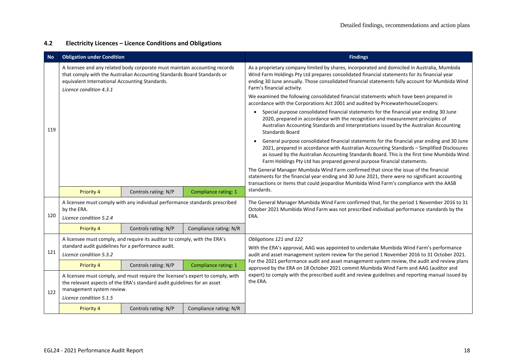## **4.2 Electricity Licences – Licence Conditions and Obligations**

| <b>No</b> | <b>Obligation under Condition</b>                                                                                                                                                                                                  |                                                                                                                                                            |                        | <b>Findings</b>                                                                                                                                                                                                                                                                                                                                                      |
|-----------|------------------------------------------------------------------------------------------------------------------------------------------------------------------------------------------------------------------------------------|------------------------------------------------------------------------------------------------------------------------------------------------------------|------------------------|----------------------------------------------------------------------------------------------------------------------------------------------------------------------------------------------------------------------------------------------------------------------------------------------------------------------------------------------------------------------|
|           | A licensee and any related body corporate must maintain accounting records<br>that comply with the Australian Accounting Standards Board Standards or<br>equivalent International Accounting Standards.<br>Licence condition 4.3.1 |                                                                                                                                                            |                        | As a proprietary company limited by shares, incorporated and domiciled in Australia, Mumbida<br>Wind Farm Holdings Pty Ltd prepares consolidated financial statements for its financial year<br>ending 30 June annually. Those consolidated financial statements fully account for Mumbida Wind<br>Farm's financial activity.                                        |
|           |                                                                                                                                                                                                                                    |                                                                                                                                                            |                        | We examined the following consolidated financial statements which have been prepared in<br>accordance with the Corporations Act 2001 and audited by PricewaterhouseCoopers:                                                                                                                                                                                          |
| 119       |                                                                                                                                                                                                                                    |                                                                                                                                                            |                        | Special purpose consolidated financial statements for the financial year ending 30 June<br>2020, prepared in accordance with the recognition and measurement principles of<br>Australian Accounting Standards and Interpretations issued by the Australian Accounting<br><b>Standards Board</b>                                                                      |
|           |                                                                                                                                                                                                                                    |                                                                                                                                                            |                        | General purpose consolidated financial statements for the financial year ending and 30 June<br>2021, prepared in accordance with Australian Accounting Standards - Simplified Disclosures<br>as issued by the Australian Accounting Standards Board. This is the first time Mumbida Wind<br>Farm Holdings Pty Ltd has prepared general purpose financial statements. |
|           |                                                                                                                                                                                                                                    |                                                                                                                                                            |                        | The General Manager Mumbida Wind Farm confirmed that since the issue of the financial<br>statements for the financial year ending and 30 June 2021, there were no significant accounting<br>transactions or items that could jeopardise Mumbida Wind Farm's compliance with the AASB                                                                                 |
|           | <b>Priority 4</b>                                                                                                                                                                                                                  | Controls rating: N/P                                                                                                                                       | Compliance rating: 1   | standards.                                                                                                                                                                                                                                                                                                                                                           |
| 120       | A licensee must comply with any individual performance standards prescribed<br>by the ERA.                                                                                                                                         |                                                                                                                                                            |                        | The General Manager Mumbida Wind Farm confirmed that, for the period 1 November 2016 to 31<br>October 2021 Mumbida Wind Farm was not prescribed individual performance standards by the<br>ERA.                                                                                                                                                                      |
|           | Licence condition 5.2.4                                                                                                                                                                                                            |                                                                                                                                                            |                        |                                                                                                                                                                                                                                                                                                                                                                      |
|           | Priority 4                                                                                                                                                                                                                         | Controls rating: N/P                                                                                                                                       | Compliance rating: N/R |                                                                                                                                                                                                                                                                                                                                                                      |
|           | A licensee must comply, and require its auditor to comply, with the ERA's<br>standard audit guidelines for a performance audit.                                                                                                    |                                                                                                                                                            |                        | Obligations 121 and 122<br>With the ERA's approval, AAG was appointed to undertake Mumbida Wind Farm's performance                                                                                                                                                                                                                                                   |
| 121       | Licence condition 5.3.2                                                                                                                                                                                                            |                                                                                                                                                            |                        | audit and asset management system review for the period 1 November 2016 to 31 October 2021.                                                                                                                                                                                                                                                                          |
|           | <b>Priority 4</b>                                                                                                                                                                                                                  | Controls rating: N/P                                                                                                                                       | Compliance rating: 1   | For the 2021 performance audit and asset management system review, the audit and review plans<br>approved by the ERA on 18 October 2021 commit Mumbida Wind Farm and AAG (auditor and                                                                                                                                                                                |
| 122       | management system review.                                                                                                                                                                                                          | A licensee must comply, and must require the licensee's expert to comply, with<br>the relevant aspects of the ERA's standard audit guidelines for an asset |                        | expert) to comply with the prescribed audit and review guidelines and reporting manual issued by<br>the ERA.                                                                                                                                                                                                                                                         |
|           | Licence condition 5.1.5                                                                                                                                                                                                            |                                                                                                                                                            |                        |                                                                                                                                                                                                                                                                                                                                                                      |
|           | <b>Priority 4</b>                                                                                                                                                                                                                  | Controls rating: N/P                                                                                                                                       | Compliance rating: N/R |                                                                                                                                                                                                                                                                                                                                                                      |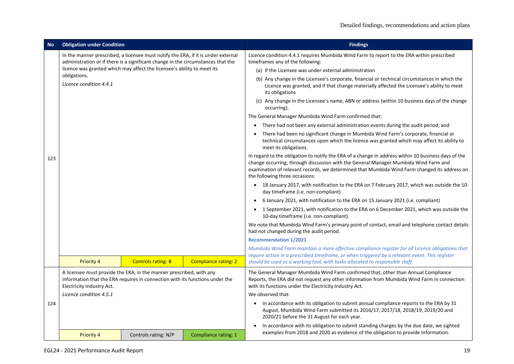| <b>No</b> | <b>Obligation under Condition</b>                                                                                                                                                |                                                                                                                                                                       |                             | <b>Findings</b>                                                                                                                                                                                                                                                                                                              |  |  |
|-----------|----------------------------------------------------------------------------------------------------------------------------------------------------------------------------------|-----------------------------------------------------------------------------------------------------------------------------------------------------------------------|-----------------------------|------------------------------------------------------------------------------------------------------------------------------------------------------------------------------------------------------------------------------------------------------------------------------------------------------------------------------|--|--|
|           |                                                                                                                                                                                  | In the manner prescribed, a licensee must notify the ERA, if it is under external<br>administration or if there is a significant change in the circumstances that the |                             | Licence condition 4.4.1 requires Mumbida Wind Farm to report to the ERA within prescribed<br>timeframes any of the following:                                                                                                                                                                                                |  |  |
|           | licence was granted which may affect the licensee's ability to meet its<br>obligations.<br>Licence condition 4.4.1                                                               |                                                                                                                                                                       |                             | (a) If the Licensee was under external administration                                                                                                                                                                                                                                                                        |  |  |
|           |                                                                                                                                                                                  |                                                                                                                                                                       |                             | (b) Any change in the Licensee's corporate, financial or technical circumstances in which the<br>Licence was granted, and if that change materially affected the Licensee's ability to meet<br>its obligations                                                                                                               |  |  |
|           |                                                                                                                                                                                  |                                                                                                                                                                       |                             | (c) Any change in the Licensee's name, ABN or address (within 10 business days of the change<br>occurring).                                                                                                                                                                                                                  |  |  |
|           |                                                                                                                                                                                  |                                                                                                                                                                       |                             | The General Manager Mumbida Wind Farm confirmed that:                                                                                                                                                                                                                                                                        |  |  |
|           |                                                                                                                                                                                  |                                                                                                                                                                       |                             | There had not been any external administration events during the audit period; and                                                                                                                                                                                                                                           |  |  |
|           |                                                                                                                                                                                  |                                                                                                                                                                       |                             | There had been no significant change in Mumbida Wind Farm's corporate, financial or<br>technical circumstances upon which the licence was granted which may affect its ability to<br>meet its obligations.                                                                                                                   |  |  |
| 123       |                                                                                                                                                                                  |                                                                                                                                                                       |                             | In regard to the obligation to notify the ERA of a change in address within 10 business days of the<br>change occurring, through discussion with the General Manager Mumbida Wind Farm and<br>examination of relevant records, we determined that Mumbida Wind Farm changed its address on<br>the following three occasions: |  |  |
|           |                                                                                                                                                                                  |                                                                                                                                                                       |                             | • 18 January 2017, with notification to the ERA on 7 February 2017, which was outside the 10-<br>day timeframe (i.e. non-compliant)                                                                                                                                                                                          |  |  |
|           |                                                                                                                                                                                  |                                                                                                                                                                       |                             | 6 January 2021, with notification to the ERA on 15 January 2021 (i.e. compliant)                                                                                                                                                                                                                                             |  |  |
|           |                                                                                                                                                                                  |                                                                                                                                                                       |                             | 1 September 2021, with notification to the ERA on 6 December 2021, which was outside the<br>10-day timeframe (i.e. non-compliant).                                                                                                                                                                                           |  |  |
|           |                                                                                                                                                                                  |                                                                                                                                                                       |                             | We note that Mumbida Wind Farm's primary point of contact, email and telephone contact details<br>had not changed during the audit period.                                                                                                                                                                                   |  |  |
|           |                                                                                                                                                                                  |                                                                                                                                                                       |                             | <b>Recommendation 1/2021</b>                                                                                                                                                                                                                                                                                                 |  |  |
|           |                                                                                                                                                                                  |                                                                                                                                                                       |                             | Mumbida Wind Farm maintain a more effective compliance register for all Licence obligations that                                                                                                                                                                                                                             |  |  |
|           | <b>Priority 4</b>                                                                                                                                                                | <b>Controls rating: B</b>                                                                                                                                             | <b>Compliance rating: 2</b> | require action in a prescribed timeframe, or when triggered by a relevant event. This register<br>should be used as a working tool, with tasks allocated to responsible staff.                                                                                                                                               |  |  |
|           | A licensee must provide the ERA, in the manner prescribed, with any<br>information that the ERA requires in connection with its functions under the<br>Electricity Industry Act. |                                                                                                                                                                       |                             | The General Manager Mumbida Wind Farm confirmed that, other than Annual Compliance<br>Reports, the ERA did not request any other information from Mumbida Wind Farm in connection<br>with its functions under the Electricity Industry Act.                                                                                  |  |  |
|           | Licence condition 4.5.1                                                                                                                                                          |                                                                                                                                                                       |                             | We observed that:                                                                                                                                                                                                                                                                                                            |  |  |
| 124       |                                                                                                                                                                                  |                                                                                                                                                                       |                             | In accordance with its obligation to submit annual compliance reports to the ERA by 31<br>August, Mumbida Wind Farm submitted its 2016/17, 2017/18, 2018/19, 2019/20 and<br>2020/21 before the 31 August for each year.                                                                                                      |  |  |
|           |                                                                                                                                                                                  |                                                                                                                                                                       |                             | In accordance with its obligation to submit standing charges by the due date, we sighted                                                                                                                                                                                                                                     |  |  |
|           | <b>Priority 4</b>                                                                                                                                                                | Controls rating: N/P                                                                                                                                                  | Compliance rating: 1        | examples from 2018 and 2020 as evidence of the obligation to provide Information.                                                                                                                                                                                                                                            |  |  |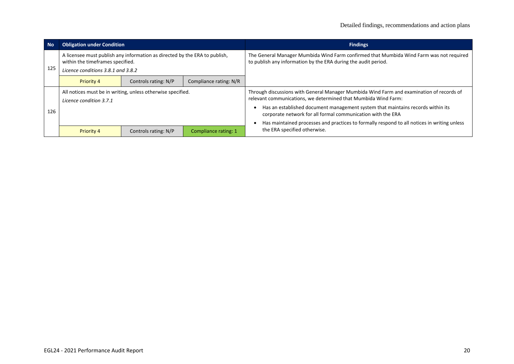| <b>No</b> | <b>Obligation under Condition</b>                                                                                                                    |                      |                      | <b>Findings</b>                                                                                                                                            |
|-----------|------------------------------------------------------------------------------------------------------------------------------------------------------|----------------------|----------------------|------------------------------------------------------------------------------------------------------------------------------------------------------------|
| 125       | A licensee must publish any information as directed by the ERA to publish,<br>within the timeframes specified.<br>Licence conditions 3.8.1 and 3.8.2 |                      |                      | The General Manager Mumbida Wind Farm confirmed that Mumbida Wind Farm was not required<br>to publish any information by the ERA during the audit period.  |
|           | Compliance rating: N/R<br>Priority 4<br>Controls rating: N/P                                                                                         |                      |                      |                                                                                                                                                            |
|           | All notices must be in writing, unless otherwise specified.<br>Licence condition 3.7.1                                                               |                      |                      | Through discussions with General Manager Mumbida Wind Farm and examination of records of<br>relevant communications, we determined that Mumbida Wind Farm: |
| 126       |                                                                                                                                                      |                      |                      | Has an established document management system that maintains records within its<br>corporate network for all formal communication with the ERA             |
|           |                                                                                                                                                      |                      |                      | Has maintained processes and practices to formally respond to all notices in writing unless                                                                |
|           | <b>Priority 4</b>                                                                                                                                    | Controls rating: N/P | Compliance rating: 1 | the ERA specified otherwise.                                                                                                                               |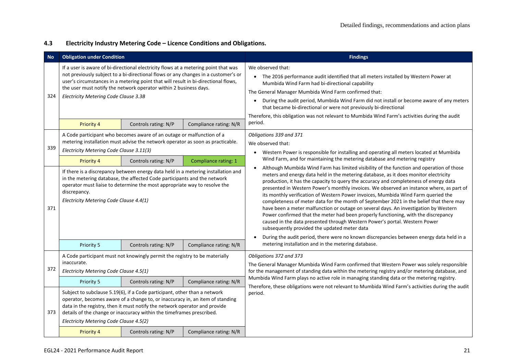## **4.3 Electricity Industry Metering Code – Licence Conditions and Obligations.**

| <b>No</b>  | <b>Obligation under Condition</b>                                                                                                                                                                                                                                                                                                                                                                                                                                                                                                                                          |                                                                                                                                                                                                                                                                                                                   |                        | <b>Findings</b>                                                                                                                                                                                                                                                                                                                                                                                                                                                                                                                                                                                                                                                                                                                                                                                                                                                                                                                                                                                                                                                                                         |
|------------|----------------------------------------------------------------------------------------------------------------------------------------------------------------------------------------------------------------------------------------------------------------------------------------------------------------------------------------------------------------------------------------------------------------------------------------------------------------------------------------------------------------------------------------------------------------------------|-------------------------------------------------------------------------------------------------------------------------------------------------------------------------------------------------------------------------------------------------------------------------------------------------------------------|------------------------|---------------------------------------------------------------------------------------------------------------------------------------------------------------------------------------------------------------------------------------------------------------------------------------------------------------------------------------------------------------------------------------------------------------------------------------------------------------------------------------------------------------------------------------------------------------------------------------------------------------------------------------------------------------------------------------------------------------------------------------------------------------------------------------------------------------------------------------------------------------------------------------------------------------------------------------------------------------------------------------------------------------------------------------------------------------------------------------------------------|
| 324        | If a user is aware of bi-directional electricity flows at a metering point that was<br>not previously subject to a bi-directional flows or any changes in a customer's or<br>user's circumstances in a metering point that will result in bi-directional flows,<br>the user must notify the network operator within 2 business days.<br>Electricity Metering Code Clause 3.3B                                                                                                                                                                                              |                                                                                                                                                                                                                                                                                                                   |                        | We observed that:<br>• The 2016 performance audit identified that all meters installed by Western Power at<br>Mumbida Wind Farm had bi-directional capability<br>The General Manager Mumbida Wind Farm confirmed that:<br>During the audit period, Mumbida Wind Farm did not install or become aware of any meters<br>$\bullet$<br>that became bi-directional or were not previously bi-directional<br>Therefore, this obligation was not relevant to Mumbida Wind Farm's activities during the audit                                                                                                                                                                                                                                                                                                                                                                                                                                                                                                                                                                                                   |
|            | <b>Priority 4</b>                                                                                                                                                                                                                                                                                                                                                                                                                                                                                                                                                          | Controls rating: N/P                                                                                                                                                                                                                                                                                              | Compliance rating: N/R | period.                                                                                                                                                                                                                                                                                                                                                                                                                                                                                                                                                                                                                                                                                                                                                                                                                                                                                                                                                                                                                                                                                                 |
| 339<br>371 | A Code participant who becomes aware of an outage or malfunction of a<br>metering installation must advise the network operator as soon as practicable.<br>Electricity Metering Code Clause 3.11(3)<br>Compliance rating: 1<br>Priority 4<br>Controls rating: N/P<br>If there is a discrepancy between energy data held in a metering installation and<br>in the metering database, the affected Code participants and the network<br>operator must liaise to determine the most appropriate way to resolve the<br>discrepancy.<br>Electricity Metering Code Clause 4.4(1) |                                                                                                                                                                                                                                                                                                                   |                        | Obligations 339 and 371<br>We observed that:<br>Western Power is responsible for installing and operating all meters located at Mumbida<br>Wind Farm, and for maintaining the metering database and metering registry<br>Although Mumbida Wind Farm has limited visibility of the function and operation of those<br>$\bullet$<br>meters and energy data held in the metering database, as it does monitor electricity<br>production, it has the capacity to query the accuracy and completeness of energy data<br>presented in Western Power's monthly invoices. We observed an instance where, as part of<br>its monthly verification of Western Power invoices, Mumbida Wind Farm queried the<br>completeness of meter data for the month of September 2021 in the belief that there may<br>have been a meter malfunction or outage on several days. An investigation by Western<br>Power confirmed that the meter had been properly functioning, with the discrepancy<br>caused in the data presented through Western Power's portal. Western Power<br>subsequently provided the updated meter data |
|            | Priority 5                                                                                                                                                                                                                                                                                                                                                                                                                                                                                                                                                                 | Controls rating: N/P                                                                                                                                                                                                                                                                                              | Compliance rating: N/R | metering installation and in the metering database.                                                                                                                                                                                                                                                                                                                                                                                                                                                                                                                                                                                                                                                                                                                                                                                                                                                                                                                                                                                                                                                     |
| 372        | A Code participant must not knowingly permit the registry to be materially<br>inaccurate.<br>Electricity Metering Code Clause 4.5(1)                                                                                                                                                                                                                                                                                                                                                                                                                                       |                                                                                                                                                                                                                                                                                                                   |                        | Obligations 372 and 373<br>The General Manager Mumbida Wind Farm confirmed that Western Power was solely responsible<br>for the management of standing data within the metering registry and/or metering database, and                                                                                                                                                                                                                                                                                                                                                                                                                                                                                                                                                                                                                                                                                                                                                                                                                                                                                  |
|            | Priority 5                                                                                                                                                                                                                                                                                                                                                                                                                                                                                                                                                                 | Controls rating: N/P                                                                                                                                                                                                                                                                                              | Compliance rating: N/R | Mumbida Wind Farm plays no active role in managing standing data or the metering registry.<br>Therefore, these obligations were not relevant to Mumbida Wind Farm's activities during the audit                                                                                                                                                                                                                                                                                                                                                                                                                                                                                                                                                                                                                                                                                                                                                                                                                                                                                                         |
| 373        | Electricity Metering Code Clause 4.5(2)                                                                                                                                                                                                                                                                                                                                                                                                                                                                                                                                    | Subject to subclause 5.19(6), if a Code participant, other than a network<br>operator, becomes aware of a change to, or inaccuracy in, an item of standing<br>data in the registry, then it must notify the network operator and provide<br>details of the change or inaccuracy within the timeframes prescribed. |                        | period.                                                                                                                                                                                                                                                                                                                                                                                                                                                                                                                                                                                                                                                                                                                                                                                                                                                                                                                                                                                                                                                                                                 |
|            | Priority 4                                                                                                                                                                                                                                                                                                                                                                                                                                                                                                                                                                 | Controls rating: N/P                                                                                                                                                                                                                                                                                              | Compliance rating: N/R |                                                                                                                                                                                                                                                                                                                                                                                                                                                                                                                                                                                                                                                                                                                                                                                                                                                                                                                                                                                                                                                                                                         |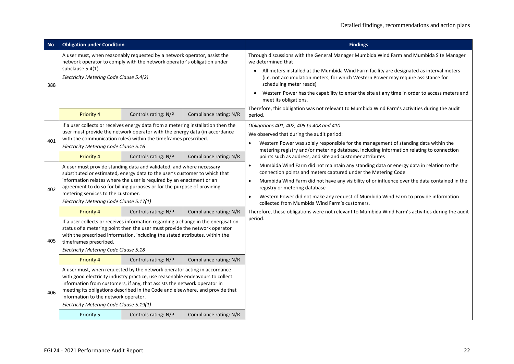| <b>No</b> | <b>Obligation under Condition</b>                                                                                                                                                                                                                                                                                                                                                       |                                                                                                                                                                                                                                                                                                                                                |                        | <b>Findings</b>                                                                                                                                                                                                                                                                                                                                                                                                                                                 |
|-----------|-----------------------------------------------------------------------------------------------------------------------------------------------------------------------------------------------------------------------------------------------------------------------------------------------------------------------------------------------------------------------------------------|------------------------------------------------------------------------------------------------------------------------------------------------------------------------------------------------------------------------------------------------------------------------------------------------------------------------------------------------|------------------------|-----------------------------------------------------------------------------------------------------------------------------------------------------------------------------------------------------------------------------------------------------------------------------------------------------------------------------------------------------------------------------------------------------------------------------------------------------------------|
| 388       | A user must, when reasonably requested by a network operator, assist the<br>network operator to comply with the network operator's obligation under<br>subclause 5.4(1).<br>Electricity Metering Code Clause 5.4(2)                                                                                                                                                                     |                                                                                                                                                                                                                                                                                                                                                |                        | Through discussions with the General Manager Mumbida Wind Farm and Mumbida Site Manager<br>we determined that<br>All meters installed at the Mumbida Wind Farm facility are designated as interval meters<br>$\bullet$<br>(i.e. not accumulation meters, for which Western Power may require assistance for<br>scheduling meter reads)<br>Western Power has the capability to enter the site at any time in order to access meters and<br>meet its obligations. |
|           | <b>Priority 4</b>                                                                                                                                                                                                                                                                                                                                                                       | Controls rating: N/P                                                                                                                                                                                                                                                                                                                           | Compliance rating: N/R | Therefore, this obligation was not relevant to Mumbida Wind Farm's activities during the audit<br>period.                                                                                                                                                                                                                                                                                                                                                       |
| 401       | If a user collects or receives energy data from a metering installation then the<br>user must provide the network operator with the energy data (in accordance<br>with the communication rules) within the timeframes prescribed.<br>Electricity Metering Code Clause 5.16                                                                                                              |                                                                                                                                                                                                                                                                                                                                                |                        | Obligations 401, 402, 405 to 408 and 410<br>We observed that during the audit period:<br>Western Power was solely responsible for the management of standing data within the<br>$\bullet$                                                                                                                                                                                                                                                                       |
|           | Priority 4                                                                                                                                                                                                                                                                                                                                                                              | Controls rating: N/P                                                                                                                                                                                                                                                                                                                           | Compliance rating: N/R | metering registry and/or metering database, including information relating to connection<br>points such as address, and site and customer attributes                                                                                                                                                                                                                                                                                                            |
| 402       | A user must provide standing data and validated, and where necessary<br>substituted or estimated, energy data to the user's customer to which that<br>information relates where the user is required by an enactment or an<br>agreement to do so for billing purposes or for the purpose of providing<br>metering services to the customer.<br>Electricity Metering Code Clause 5.17(1) |                                                                                                                                                                                                                                                                                                                                                |                        | Mumbida Wind Farm did not maintain any standing data or energy data in relation to the<br>$\bullet$<br>connection points and meters captured under the Metering Code<br>Mumbida Wind Farm did not have any visibility of or influence over the data contained in the<br>$\bullet$<br>registry or metering database<br>Western Power did not make any request of Mumbida Wind Farm to provide information<br>collected from Mumbida Wind Farm's customers.       |
|           | Priority 4                                                                                                                                                                                                                                                                                                                                                                              | Controls rating: N/P                                                                                                                                                                                                                                                                                                                           | Compliance rating: N/R | Therefore, these obligations were not relevant to Mumbida Wind Farm's activities during the audit                                                                                                                                                                                                                                                                                                                                                               |
| 405       | If a user collects or receives information regarding a change in the energisation<br>status of a metering point then the user must provide the network operator<br>with the prescribed information, including the stated attributes, within the<br>timeframes prescribed.<br>Electricity Metering Code Clause 5.18                                                                      |                                                                                                                                                                                                                                                                                                                                                |                        | period.                                                                                                                                                                                                                                                                                                                                                                                                                                                         |
|           | Priority 4                                                                                                                                                                                                                                                                                                                                                                              | Controls rating: N/P                                                                                                                                                                                                                                                                                                                           | Compliance rating: N/R |                                                                                                                                                                                                                                                                                                                                                                                                                                                                 |
| 406       | information to the network operator.<br>Electricity Metering Code Clause 5.19(1)<br>Priority 5                                                                                                                                                                                                                                                                                          | A user must, when requested by the network operator acting in accordance<br>with good electricity industry practice, use reasonable endeavours to collect<br>information from customers, if any, that assists the network operator in<br>meeting its obligations described in the Code and elsewhere, and provide that<br>Controls rating: N/P | Compliance rating: N/R |                                                                                                                                                                                                                                                                                                                                                                                                                                                                 |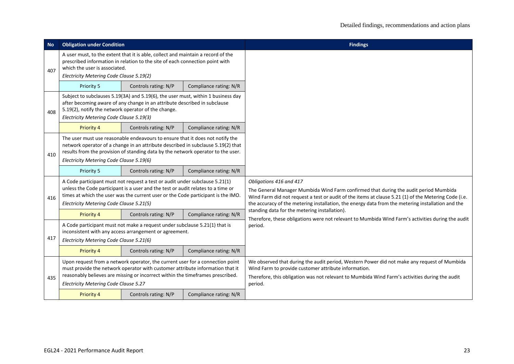| <b>No</b> | <b>Obligation under Condition</b>                                                                                                                                                                                                                                                                 |                                                                                                                                                                                                                                                  |                        | <b>Findings</b>                                                                                                                                                                                                                                                                                                              |
|-----------|---------------------------------------------------------------------------------------------------------------------------------------------------------------------------------------------------------------------------------------------------------------------------------------------------|--------------------------------------------------------------------------------------------------------------------------------------------------------------------------------------------------------------------------------------------------|------------------------|------------------------------------------------------------------------------------------------------------------------------------------------------------------------------------------------------------------------------------------------------------------------------------------------------------------------------|
| 407       | which the user is associated.<br>Electricity Metering Code Clause 5.19(2)                                                                                                                                                                                                                         | A user must, to the extent that it is able, collect and maintain a record of the<br>prescribed information in relation to the site of each connection point with                                                                                 |                        |                                                                                                                                                                                                                                                                                                                              |
|           | Priority 5                                                                                                                                                                                                                                                                                        | Controls rating: N/P                                                                                                                                                                                                                             | Compliance rating: N/R |                                                                                                                                                                                                                                                                                                                              |
| 408       | Subject to subclauses 5.19(3A) and 5.19(6), the user must, within 1 business day<br>after becoming aware of any change in an attribute described in subclause<br>5.19(2), notify the network operator of the change.<br>Electricity Metering Code Clause 5.19(3)                                  |                                                                                                                                                                                                                                                  |                        |                                                                                                                                                                                                                                                                                                                              |
|           | Priority 4<br>Controls rating: N/P<br>Compliance rating: N/R                                                                                                                                                                                                                                      |                                                                                                                                                                                                                                                  |                        |                                                                                                                                                                                                                                                                                                                              |
| 410       | The user must use reasonable endeavours to ensure that it does not notify the<br>network operator of a change in an attribute described in subclause 5.19(2) that<br>results from the provision of standing data by the network operator to the user.<br>Electricity Metering Code Clause 5.19(6) |                                                                                                                                                                                                                                                  |                        |                                                                                                                                                                                                                                                                                                                              |
|           | Priority 5                                                                                                                                                                                                                                                                                        | Controls rating: N/P                                                                                                                                                                                                                             | Compliance rating: N/R |                                                                                                                                                                                                                                                                                                                              |
| 416       | A Code participant must not request a test or audit under subclause 5.21(1)<br>unless the Code participant is a user and the test or audit relates to a time or<br>times at which the user was the current user or the Code participant is the IMO.<br>Electricity Metering Code Clause 5.21(5)   |                                                                                                                                                                                                                                                  |                        | Obligations 416 and 417<br>The General Manager Mumbida Wind Farm confirmed that during the audit period Mumbida<br>Wind Farm did not request a test or audit of the items at clause 5.21 (1) of the Metering Code (i.e.<br>the accuracy of the metering installation, the energy data from the metering installation and the |
|           | Priority 4                                                                                                                                                                                                                                                                                        | Controls rating: N/P                                                                                                                                                                                                                             | Compliance rating: N/R | standing data for the metering installation).<br>Therefore, these obligations were not relevant to Mumbida Wind Farm's activities during the audit                                                                                                                                                                           |
| 417       | A Code participant must not make a request under subclause 5.21(1) that is<br>inconsistent with any access arrangement or agreement.<br>Electricity Metering Code Clause 5.21(6)                                                                                                                  |                                                                                                                                                                                                                                                  |                        | period.                                                                                                                                                                                                                                                                                                                      |
|           | <b>Priority 4</b>                                                                                                                                                                                                                                                                                 | Controls rating: N/P                                                                                                                                                                                                                             | Compliance rating: N/R |                                                                                                                                                                                                                                                                                                                              |
| 435       | Electricity Metering Code Clause 5.27                                                                                                                                                                                                                                                             | Upon request from a network operator, the current user for a connection point<br>must provide the network operator with customer attribute information that it<br>reasonably believes are missing or incorrect within the timeframes prescribed. |                        | We observed that during the audit period, Western Power did not make any request of Mumbida<br>Wind Farm to provide customer attribute information.<br>Therefore, this obligation was not relevant to Mumbida Wind Farm's activities during the audit<br>period.                                                             |
|           | <b>Priority 4</b>                                                                                                                                                                                                                                                                                 | Controls rating: N/P                                                                                                                                                                                                                             | Compliance rating: N/R |                                                                                                                                                                                                                                                                                                                              |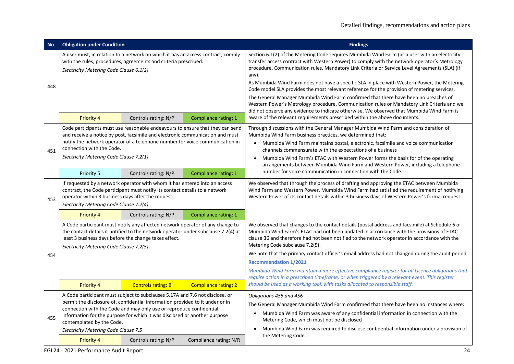| <b>No</b> | <b>Obligation under Condition</b>                                                                                                                                                                                                                                                                                      |                                                                                                                                                                                                                                                                                                                                           |                             | <b>Findings</b>                                                                                                                                                                                                                                                                                                                                                                                                                                                                                                                                                                                                                                                                                                                                                                                                                                                      |
|-----------|------------------------------------------------------------------------------------------------------------------------------------------------------------------------------------------------------------------------------------------------------------------------------------------------------------------------|-------------------------------------------------------------------------------------------------------------------------------------------------------------------------------------------------------------------------------------------------------------------------------------------------------------------------------------------|-----------------------------|----------------------------------------------------------------------------------------------------------------------------------------------------------------------------------------------------------------------------------------------------------------------------------------------------------------------------------------------------------------------------------------------------------------------------------------------------------------------------------------------------------------------------------------------------------------------------------------------------------------------------------------------------------------------------------------------------------------------------------------------------------------------------------------------------------------------------------------------------------------------|
| 448       | A user must, in relation to a network on which it has an access contract, comply<br>with the rules, procedures, agreements and criteria prescribed.<br>Electricity Metering Code Clause 6.1(2)<br>Priority 4<br>Controls rating: N/P                                                                                   |                                                                                                                                                                                                                                                                                                                                           | Compliance rating: 1        | Section 6.1(2) of the Metering Code requires Mumbida Wind Farm (as a user with an electricity<br>transfer access contract with Western Power) to comply with the network operator's Metrology<br>procedure, Communication rules, Mandatory Link Criteria or Service Level Agreements (SLA) (if<br>any).<br>As Mumbida Wind Farm does not have a specific SLA in place with Western Power, the Metering<br>Code model SLA provides the most relevant reference for the provision of metering services.<br>The General Manager Mumbida Wind Farm confirmed that there have been no breaches of<br>Western Power's Metrology procedure, Communication rules or Mandatory Link Criteria and we<br>did not observe any evidence to indicate otherwise. We observed that Mumbida Wind Farm is<br>aware of the relevant requirements prescribed within the above documents. |
| 451       | Code participants must use reasonable endeavours to ensure that they can send<br>and receive a notice by post, facsimile and electronic communication and must<br>notify the network operator of a telephone number for voice communication in<br>connection with the Code.<br>Electricity Metering Code Clause 7.2(1) |                                                                                                                                                                                                                                                                                                                                           |                             | Through discussions with the General Manager Mumbida Wind Farm and consideration of<br>Mumbida Wind Farm business practices, we determined that:<br>Mumbida Wind Farm maintains postal, electronic, facsimile and voice communication<br>channels commensurate with the expectations of a business<br>Mumbida Wind Farm's ETAC with Western Power forms the basis for of the operating<br>arrangements between Mumbida Wind Farm and Western Power, including a telephone                                                                                                                                                                                                                                                                                                                                                                                            |
|           | Priority 5<br>Controls rating: N/P<br>Compliance rating: 1                                                                                                                                                                                                                                                             |                                                                                                                                                                                                                                                                                                                                           |                             | number for voice communication in connection with the Code.                                                                                                                                                                                                                                                                                                                                                                                                                                                                                                                                                                                                                                                                                                                                                                                                          |
| 453       | If requested by a network operator with whom it has entered into an access<br>contract, the Code participant must notify its contact details to a network<br>operator within 3 business days after the request.<br>Electricity Metering Code Clause 7.2(4)                                                             |                                                                                                                                                                                                                                                                                                                                           |                             | We observed that through the process of drafting and approving the ETAC between Mumbida<br>Wind Farm and Western Power, Mumbida Wind Farm had satisfied the requirement of notifying<br>Western Power of its contact details within 3 business days of Western Power's formal request.                                                                                                                                                                                                                                                                                                                                                                                                                                                                                                                                                                               |
|           | Priority 4                                                                                                                                                                                                                                                                                                             | Controls rating: N/P                                                                                                                                                                                                                                                                                                                      | Compliance rating: 1        |                                                                                                                                                                                                                                                                                                                                                                                                                                                                                                                                                                                                                                                                                                                                                                                                                                                                      |
| 454       | A Code participant must notify any affected network operator of any change to<br>the contact details it notified to the network operator under subclause 7.2(4) at<br>least 3 business days before the change takes effect.<br>Electricity Metering Code Clause 7.2(5)                                                 |                                                                                                                                                                                                                                                                                                                                           |                             | We observed that changes to the contact details (postal address and facsimile) at Schedule 6 of<br>Mumbida Wind Farm's ETAC had not been updated in accordance with the provisions of ETAC<br>clause 36 and therefore had not been notified to the network operator in accordance with the<br>Metering Code subclause 7.2(5).<br>We note that the primary contact officer's email address had not changed during the audit period.<br><b>Recommendation 1/2021</b><br>Mumbida Wind Farm maintain a more effective compliance register for all Licence obligations that<br>require action in a prescribed timeframe, or when triggered by a relevant event. This register                                                                                                                                                                                             |
|           | <b>Priority 4</b>                                                                                                                                                                                                                                                                                                      | <b>Controls rating: B</b>                                                                                                                                                                                                                                                                                                                 | <b>Compliance rating: 2</b> | should be used as a working tool, with tasks allocated to responsible staff.                                                                                                                                                                                                                                                                                                                                                                                                                                                                                                                                                                                                                                                                                                                                                                                         |
| 455       | contemplated by the Code.<br>Electricity Metering Code Clause 7.5<br><b>Priority 4</b>                                                                                                                                                                                                                                 | A Code participant must subject to subclauses 5.17A and 7.6 not disclose, or<br>permit the disclosure of, confidential information provided to it under or in<br>connection with the Code and may only use or reproduce confidential<br>information for the purpose for which it was disclosed or another purpose<br>Controls rating: N/P | Compliance rating: N/R      | Obligations 455 and 456<br>The General Manager Mumbida Wind Farm confirmed that there have been no instances where:<br>Mumbida Wind Farm was aware of any confidential information in connection with the<br>Metering Code, which must not be disclosed<br>Mumbida Wind Farm was required to disclose confidential information under a provision of<br>the Metering Code.                                                                                                                                                                                                                                                                                                                                                                                                                                                                                            |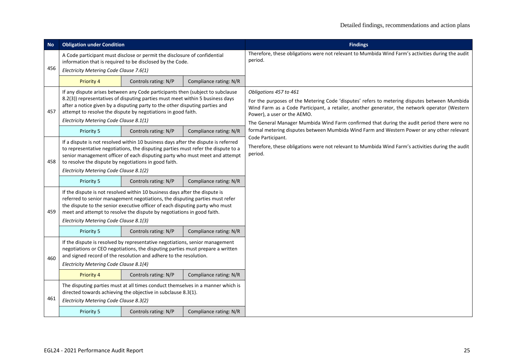| <b>No</b> | <b>Obligation under Condition</b>                                                                                                                                                                                                                                                                                                                                |                                                                                                                                                  |                        | <b>Findings</b>                                                                                                                                                                                                                                                                                                                                      |
|-----------|------------------------------------------------------------------------------------------------------------------------------------------------------------------------------------------------------------------------------------------------------------------------------------------------------------------------------------------------------------------|--------------------------------------------------------------------------------------------------------------------------------------------------|------------------------|------------------------------------------------------------------------------------------------------------------------------------------------------------------------------------------------------------------------------------------------------------------------------------------------------------------------------------------------------|
| 456       | A Code participant must disclose or permit the disclosure of confidential<br>information that is required to be disclosed by the Code.<br>Electricity Metering Code Clause 7.6(1)                                                                                                                                                                                |                                                                                                                                                  |                        | Therefore, these obligations were not relevant to Mumbida Wind Farm's activities during the audit<br>period.                                                                                                                                                                                                                                         |
|           | <b>Priority 4</b>                                                                                                                                                                                                                                                                                                                                                | Controls rating: N/P                                                                                                                             | Compliance rating: N/R |                                                                                                                                                                                                                                                                                                                                                      |
| 457       | If any dispute arises between any Code participants then (subject to subclause<br>8.2(3)) representatives of disputing parties must meet within 5 business days<br>after a notice given by a disputing party to the other disputing parties and<br>attempt to resolve the dispute by negotiations in good faith.<br>Electricity Metering Code Clause 8.1(1)      |                                                                                                                                                  |                        | Obligations 457 to 461<br>For the purposes of the Metering Code 'disputes' refers to metering disputes between Mumbida<br>Wind Farm as a Code Participant, a retailer, another generator, the network operator (Western<br>Power), a user or the AEMO.<br>The General Manager Mumbida Wind Farm confirmed that during the audit period there were no |
|           | Priority 5                                                                                                                                                                                                                                                                                                                                                       | Controls rating: N/P                                                                                                                             | Compliance rating: N/R | formal metering disputes between Mumbida Wind Farm and Western Power or any other relevant                                                                                                                                                                                                                                                           |
| 458       | If a dispute is not resolved within 10 business days after the dispute is referred<br>to representative negotiations, the disputing parties must refer the dispute to a<br>senior management officer of each disputing party who must meet and attempt<br>to resolve the dispute by negotiations in good faith.<br>Electricity Metering Code Clause 8.1(2)       |                                                                                                                                                  |                        | Code Participant.<br>Therefore, these obligations were not relevant to Mumbida Wind Farm's activities during the audit<br>period.                                                                                                                                                                                                                    |
|           | Priority 5                                                                                                                                                                                                                                                                                                                                                       | Controls rating: N/P                                                                                                                             | Compliance rating: N/R |                                                                                                                                                                                                                                                                                                                                                      |
| 459       | If the dispute is not resolved within 10 business days after the dispute is<br>referred to senior management negotiations, the disputing parties must refer<br>the dispute to the senior executive officer of each disputing party who must<br>meet and attempt to resolve the dispute by negotiations in good faith.<br>Electricity Metering Code Clause 8.1(3) |                                                                                                                                                  |                        |                                                                                                                                                                                                                                                                                                                                                      |
|           | Priority 5                                                                                                                                                                                                                                                                                                                                                       | Controls rating: N/P                                                                                                                             | Compliance rating: N/R |                                                                                                                                                                                                                                                                                                                                                      |
| 460       | If the dispute is resolved by representative negotiations, senior management<br>negotiations or CEO negotiations, the disputing parties must prepare a written<br>and signed record of the resolution and adhere to the resolution.<br>Electricity Metering Code Clause 8.1(4)                                                                                   |                                                                                                                                                  |                        |                                                                                                                                                                                                                                                                                                                                                      |
|           | <b>Priority 4</b>                                                                                                                                                                                                                                                                                                                                                | Controls rating: N/P                                                                                                                             | Compliance rating: N/R |                                                                                                                                                                                                                                                                                                                                                      |
| 461       | Electricity Metering Code Clause 8.3(2)                                                                                                                                                                                                                                                                                                                          | The disputing parties must at all times conduct themselves in a manner which is<br>directed towards achieving the objective in subclause 8.3(1). |                        |                                                                                                                                                                                                                                                                                                                                                      |
|           | Priority 5                                                                                                                                                                                                                                                                                                                                                       | Controls rating: N/P                                                                                                                             | Compliance rating: N/R |                                                                                                                                                                                                                                                                                                                                                      |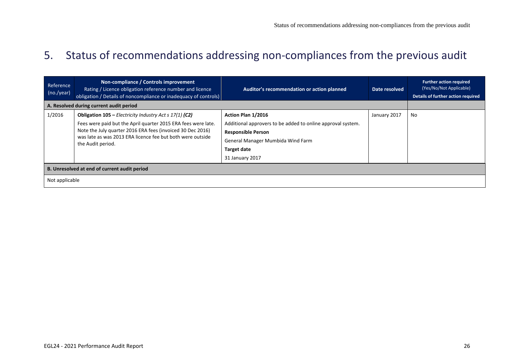## 5. Status of recommendations addressing non-compliances from the previous audit

<span id="page-25-0"></span>

| Reference<br>(no./year) | Non-compliance / Controls improvement<br>Rating / Licence obligation reference number and licence<br>obligation / Details of noncompliance or inadequacy of controls) | Auditor's recommendation or action planned                  | Date resolved | <b>Further action required</b><br>(Yes/No/Not Applicable)<br>Details of further action required |  |  |  |  |
|-------------------------|-----------------------------------------------------------------------------------------------------------------------------------------------------------------------|-------------------------------------------------------------|---------------|-------------------------------------------------------------------------------------------------|--|--|--|--|
|                         | A. Resolved during current audit period                                                                                                                               |                                                             |               |                                                                                                 |  |  |  |  |
| 1/2016                  | <b>Obligation 105 – Electricity Industry Act s 17(1) (C2)</b>                                                                                                         | Action Plan 1/2016                                          | January 2017  | No                                                                                              |  |  |  |  |
|                         | Fees were paid but the April quarter 2015 ERA fees were late.                                                                                                         | Additional approvers to be added to online approval system. |               |                                                                                                 |  |  |  |  |
|                         | Note the July quarter 2016 ERA fees (invoiced 30 Dec 2016)<br>was late as was 2013 ERA licence fee but both were outside<br>the Audit period.                         | <b>Responsible Person</b>                                   |               |                                                                                                 |  |  |  |  |
|                         |                                                                                                                                                                       | General Manager Mumbida Wind Farm                           |               |                                                                                                 |  |  |  |  |
|                         |                                                                                                                                                                       | <b>Target date</b>                                          |               |                                                                                                 |  |  |  |  |
|                         |                                                                                                                                                                       | 31 January 2017                                             |               |                                                                                                 |  |  |  |  |
|                         | B. Unresolved at end of current audit period                                                                                                                          |                                                             |               |                                                                                                 |  |  |  |  |
| Not applicable          |                                                                                                                                                                       |                                                             |               |                                                                                                 |  |  |  |  |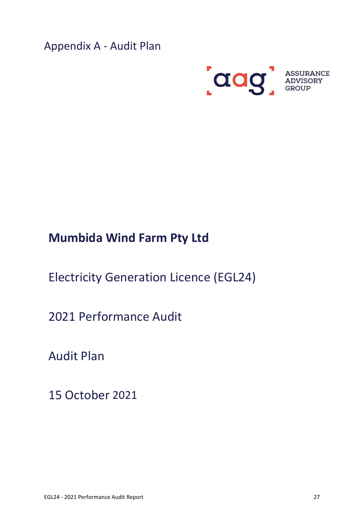<span id="page-26-0"></span>Appendix A - Audit Plan



# **Mumbida Wind Farm Pty Ltd**

Electricity Generation Licence (EGL24)

2021 Performance Audit

Audit Plan

15 October 2021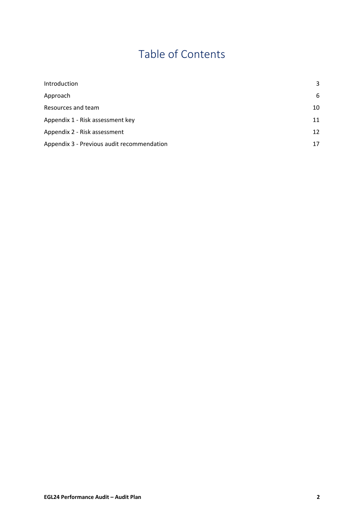# Table of Contents

| Introduction                               | 3  |
|--------------------------------------------|----|
| Approach                                   | 6  |
| Resources and team                         | 10 |
| Appendix 1 - Risk assessment key           | 11 |
| Appendix 2 - Risk assessment               | 12 |
| Appendix 3 - Previous audit recommendation | 17 |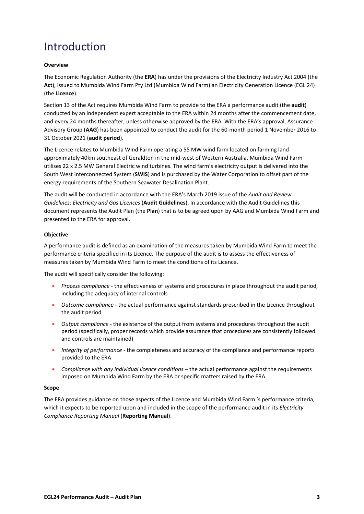## <span id="page-28-0"></span>Introduction

#### **Overview**

The Economic Regulation Authority (the **ERA**) has under the provisions of the Electricity Industry Act 2004 (the **Act**), issued to Mumbida Wind Farm Pty Ltd (Mumbida Wind Farm) an Electricity Generation Licence (EGL 24) (the **Licence**).

Section 13 of the Act requires Mumbida Wind Farm to provide to the ERA a performance audit (the **audit**) conducted by an independent expert acceptable to the ERA within 24 months after the commencement date, and every 24 months thereafter, unless otherwise approved by the ERA. With the ERA's approval, Assurance Advisory Group (**AAG**) has been appointed to conduct the audit for the 60-month period 1 November 2016 to 31 October 2021 (**audit period**).

The Licence relates to Mumbida Wind Farm operating a 55 MW wind farm located on farming land approximately 40km southeast of Geraldton in the mid-west of Western Australia. Mumbida Wind Farm utilises 22 x 2.5 MW General Electric wind turbines. The wind farm's electricity output is delivered into the South West Interconnected System (**SWIS**) and is purchased by the Water Corporation to offset part of the energy requirements of the Southern Seawater Desalination Plant.

The audit will be conducted in accordance with the ERA's March 2019 issue of the *Audit and Review Guidelines: Electricity and Gas Licences* (**Audit Guidelines**). In accordance with the Audit Guidelines this document represents the Audit Plan (the **Plan**) that is to be agreed upon by AAG and Mumbida Wind Farm and presented to the ERA for approval.

#### **Objective**

A performance audit is defined as an examination of the measures taken by Mumbida Wind Farm to meet the performance criteria specified in its Licence. The purpose of the audit is to assess the effectiveness of measures taken by Mumbida Wind Farm to meet the conditions of its Licence.

The audit will specifically consider the following:

- *Process compliance* the effectiveness of systems and procedures in place throughout the audit period, including the adequacy of internal controls
- *Outcome compliance* the actual performance against standards prescribed in the Licence throughout the audit period
- *Output compliance* the existence of the output from systems and procedures throughout the audit period (specifically, proper records which provide assurance that procedures are consistently followed and controls are maintained)
- *Integrity of performance* the completeness and accuracy of the compliance and performance reports provided to the ERA
- *Compliance with any individual licence conditions* the actual performance against the requirements imposed on Mumbida Wind Farm by the ERA or specific matters raised by the ERA.

#### **Scope**

The ERA provides guidance on those aspects of the Licence and Mumbida Wind Farm 's performance criteria, which it expects to be reported upon and included in the scope of the performance audit in its *Electricity Compliance Reporting Manual* (**Reporting Manual**).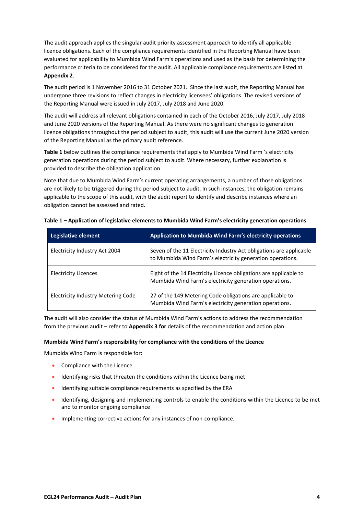The audit approach applies the singular audit priority assessment approach to identify all applicable licence obligations. Each of the compliance requirements identified in the Reporting Manual have been evaluated for applicability to Mumbida Wind Farm's operations and used as the basis for determining the performance criteria to be considered for the audit. All applicable compliance requirements are listed at **Appendix 2**.

The audit period is 1 November 2016 to 31 October 2021. Since the last audit, the Reporting Manual has undergone three revisions to reflect changes in electricity licensees' obligations. The revised versions of the Reporting Manual were issued in July 2017, July 2018 and June 2020.

The audit will address all relevant obligations contained in each of the October 2016, July 2017, July 2018 and June 2020 versions of the Reporting Manual. As there were no significant changes to generation licence obligations throughout the period subject to audit, this audit will use the current June 2020 version of the Reporting Manual as the primary audit reference.

**Table 1** below outlines the compliance requirements that apply to Mumbida Wind Farm 's electricity generation operations during the period subject to audit. Where necessary, further explanation is provided to describe the obligation application.

Note that due to Mumbida Wind Farm's current operating arrangements, a number of those obligations are not likely to be triggered during the period subject to audit. In such instances, the obligation remains applicable to the scope of this audit, with the audit report to identify and describe instances where an obligation cannot be assessed and rated.

| Legislative element                | <b>Application to Mumbida Wind Farm's electricity operations</b>                                                                 |
|------------------------------------|----------------------------------------------------------------------------------------------------------------------------------|
| Electricity Industry Act 2004      | Seven of the 11 Electricity Industry Act obligations are applicable<br>to Mumbida Wind Farm's electricity generation operations. |
| <b>Electricity Licences</b>        | Eight of the 14 Electricity Licence obligations are applicable to<br>Mumbida Wind Farm's electricity generation operations.      |
| Electricity Industry Metering Code | 27 of the 149 Metering Code obligations are applicable to<br>Mumbida Wind Farm's electricity generation operations.              |

**Table 1 – Application of legislative elements to Mumbida Wind Farm's electricity generation operations** 

The audit will also consider the status of Mumbida Wind Farm's actions to address the recommendation from the previous audit – refer to **Appendix 3 for** details of the recommendation and action plan.

#### **Mumbida Wind Farm's responsibility for compliance with the conditions of the Licence**

Mumbida Wind Farm is responsible for:

- Compliance with the Licence
- Identifying risks that threaten the conditions within the Licence being met
- Identifying suitable compliance requirements as specified by the ERA
- Identifying, designing and implementing controls to enable the conditions within the Licence to be met and to monitor ongoing compliance
- Implementing corrective actions for any instances of non-compliance.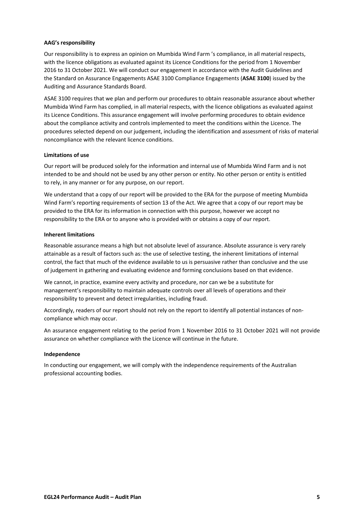#### **AAG's responsibility**

Our responsibility is to express an opinion on Mumbida Wind Farm 's compliance, in all material respects, with the licence obligations as evaluated against its Licence Conditions for the period from 1 November 2016 to 31 October 2021. We will conduct our engagement in accordance with the Audit Guidelines and the Standard on Assurance Engagements ASAE 3100 Compliance Engagements (**ASAE 3100**) issued by the Auditing and Assurance Standards Board.

ASAE 3100 requires that we plan and perform our procedures to obtain reasonable assurance about whether Mumbida Wind Farm has complied, in all material respects, with the licence obligations as evaluated against its Licence Conditions. This assurance engagement will involve performing procedures to obtain evidence about the compliance activity and controls implemented to meet the conditions within the Licence. The procedures selected depend on our judgement, including the identification and assessment of risks of material noncompliance with the relevant licence conditions.

#### **Limitations of use**

Our report will be produced solely for the information and internal use of Mumbida Wind Farm and is not intended to be and should not be used by any other person or entity. No other person or entity is entitled to rely, in any manner or for any purpose, on our report.

We understand that a copy of our report will be provided to the ERA for the purpose of meeting Mumbida Wind Farm's reporting requirements of section 13 of the Act. We agree that a copy of our report may be provided to the ERA for its information in connection with this purpose, however we accept no responsibility to the ERA or to anyone who is provided with or obtains a copy of our report.

#### **Inherent limitations**

Reasonable assurance means a high but not absolute level of assurance. Absolute assurance is very rarely attainable as a result of factors such as: the use of selective testing, the inherent limitations of internal control, the fact that much of the evidence available to us is persuasive rather than conclusive and the use of judgement in gathering and evaluating evidence and forming conclusions based on that evidence.

We cannot, in practice, examine every activity and procedure, nor can we be a substitute for management's responsibility to maintain adequate controls over all levels of operations and their responsibility to prevent and detect irregularities, including fraud.

Accordingly, readers of our report should not rely on the report to identify all potential instances of noncompliance which may occur.

An assurance engagement relating to the period from 1 November 2016 to 31 October 2021 will not provide assurance on whether compliance with the Licence will continue in the future.

#### **Independence**

In conducting our engagement, we will comply with the independence requirements of the Australian professional accounting bodies.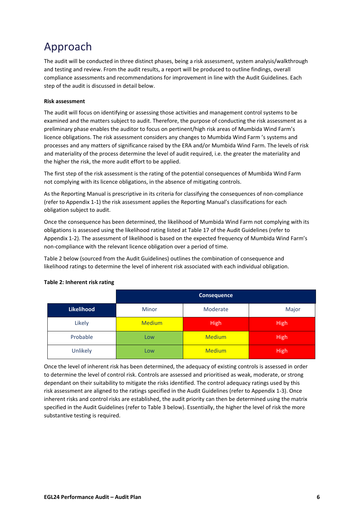# <span id="page-31-0"></span>Approach

The audit will be conducted in three distinct phases, being a risk assessment, system analysis/walkthrough and testing and review. From the audit results, a report will be produced to outline findings, overall compliance assessments and recommendations for improvement in line with the Audit Guidelines. Each step of the audit is discussed in detail below.

#### **Risk assessment**

The audit will focus on identifying or assessing those activities and management control systems to be examined and the matters subject to audit. Therefore, the purpose of conducting the risk assessment as a preliminary phase enables the auditor to focus on pertinent/high risk areas of Mumbida Wind Farm's licence obligations. The risk assessment considers any changes to Mumbida Wind Farm 's systems and processes and any matters of significance raised by the ERA and/or Mumbida Wind Farm. The levels of risk and materiality of the process determine the level of audit required, i.e. the greater the materiality and the higher the risk, the more audit effort to be applied.

The first step of the risk assessment is the rating of the potential consequences of Mumbida Wind Farm not complying with its licence obligations, in the absence of mitigating controls.

As the Reporting Manual is prescriptive in its criteria for classifying the consequences of non-compliance (refer to Appendix 1-1) the risk assessment applies the Reporting Manual's classifications for each obligation subject to audit.

Once the consequence has been determined, the likelihood of Mumbida Wind Farm not complying with its obligations is assessed using the likelihood rating listed at Table 17 of the Audit Guidelines (refer to Appendix 1-2). The assessment of likelihood is based on the expected frequency of Mumbida Wind Farm's non-compliance with the relevant licence obligation over a period of time.

Table 2 below (sourced from the Audit Guidelines) outlines the combination of consequence and likelihood ratings to determine the level of inherent risk associated with each individual obligation.

|            |               | <b>Consequence</b> |             |  |  |  |  |
|------------|---------------|--------------------|-------------|--|--|--|--|
| Likelihood | Minor         | Moderate           |             |  |  |  |  |
| Likely     | <b>Medium</b> | <b>High</b>        | <b>High</b> |  |  |  |  |
| Probable   | <b>Low</b>    | <b>Medium</b>      | <b>High</b> |  |  |  |  |
| Unlikely   | Low           | <b>Medium</b>      | <b>High</b> |  |  |  |  |

#### **Table 2: Inherent risk rating**

Once the level of inherent risk has been determined, the adequacy of existing controls is assessed in order to determine the level of control risk. Controls are assessed and prioritised as weak, moderate, or strong dependant on their suitability to mitigate the risks identified. The control adequacy ratings used by this risk assessment are aligned to the ratings specified in the Audit Guidelines (refer to Appendix 1-3). Once inherent risks and control risks are established, the audit priority can then be determined using the matrix specified in the Audit Guidelines (refer to Table 3 below). Essentially, the higher the level of risk the more substantive testing is required.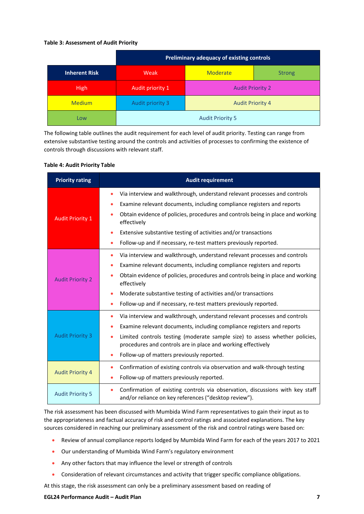#### **Table 3: Assessment of Audit Priority**

|                      |                  | Preliminary adequacy of existing controls |  |  |  |  |  |  |
|----------------------|------------------|-------------------------------------------|--|--|--|--|--|--|
| <b>Inherent Risk</b> | Weak             | <b>Moderate</b><br><b>Strong</b>          |  |  |  |  |  |  |
| <b>High</b>          | Audit priority 1 | <b>Audit Priority 2</b>                   |  |  |  |  |  |  |
| <b>Medium</b>        | Audit priority 3 | <b>Audit Priority 4</b>                   |  |  |  |  |  |  |
| Low                  |                  | <b>Audit Priority 5</b>                   |  |  |  |  |  |  |

The following table outlines the audit requirement for each level of audit priority. Testing can range from extensive substantive testing around the controls and activities of processes to confirming the existence of controls through discussions with relevant staff.

#### **Table 4: Audit Priority Table**

| <b>Priority rating</b>  | <b>Audit requirement</b>                                                                                                                    |  |  |  |
|-------------------------|---------------------------------------------------------------------------------------------------------------------------------------------|--|--|--|
|                         | Via interview and walkthrough, understand relevant processes and controls                                                                   |  |  |  |
|                         | Examine relevant documents, including compliance registers and reports                                                                      |  |  |  |
| <b>Audit Priority 1</b> | Obtain evidence of policies, procedures and controls being in place and working<br>effectively                                              |  |  |  |
|                         | Extensive substantive testing of activities and/or transactions                                                                             |  |  |  |
|                         | Follow-up and if necessary, re-test matters previously reported.                                                                            |  |  |  |
|                         | Via interview and walkthrough, understand relevant processes and controls<br>$\bullet$                                                      |  |  |  |
|                         | Examine relevant documents, including compliance registers and reports                                                                      |  |  |  |
| <b>Audit Priority 2</b> | Obtain evidence of policies, procedures and controls being in place and working<br>effectively                                              |  |  |  |
|                         | Moderate substantive testing of activities and/or transactions                                                                              |  |  |  |
|                         | Follow-up and if necessary, re-test matters previously reported.                                                                            |  |  |  |
|                         | Via interview and walkthrough, understand relevant processes and controls                                                                   |  |  |  |
|                         | Examine relevant documents, including compliance registers and reports                                                                      |  |  |  |
| <b>Audit Priority 3</b> | Limited controls testing (moderate sample size) to assess whether policies,<br>procedures and controls are in place and working effectively |  |  |  |
|                         | Follow-up of matters previously reported.                                                                                                   |  |  |  |
|                         | Confirmation of existing controls via observation and walk-through testing<br>۰                                                             |  |  |  |
| <b>Audit Priority 4</b> | Follow-up of matters previously reported.                                                                                                   |  |  |  |
| <b>Audit Priority 5</b> | Confirmation of existing controls via observation, discussions with key staff<br>and/or reliance on key references ("desktop review").      |  |  |  |

The risk assessment has been discussed with Mumbida Wind Farm representatives to gain their input as to the appropriateness and factual accuracy of risk and control ratings and associated explanations. The key sources considered in reaching our preliminary assessment of the risk and control ratings were based on:

- Review of annual compliance reports lodged by Mumbida Wind Farm for each of the years 2017 to 2021
- Our understanding of Mumbida Wind Farm's regulatory environment
- Any other factors that may influence the level or strength of controls
- Consideration of relevant circumstances and activity that trigger specific compliance obligations.

At this stage, the risk assessment can only be a preliminary assessment based on reading of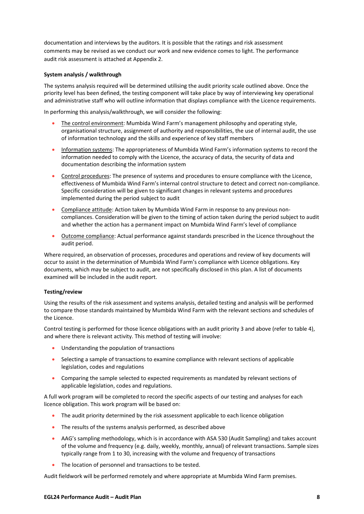documentation and interviews by the auditors. It is possible that the ratings and risk assessment comments may be revised as we conduct our work and new evidence comes to light. The performance audit risk assessment is attached at Appendix 2.

#### **System analysis / walkthrough**

The systems analysis required will be determined utilising the audit priority scale outlined above. Once the priority level has been defined, the testing component will take place by way of interviewing key operational and administrative staff who will outline information that displays compliance with the Licence requirements.

In performing this analysis/walkthrough, we will consider the following:

- The control environment: Mumbida Wind Farm's management philosophy and operating style, organisational structure, assignment of authority and responsibilities, the use of internal audit, the use of information technology and the skills and experience of key staff members
- Information systems: The appropriateness of Mumbida Wind Farm's information systems to record the information needed to comply with the Licence, the accuracy of data, the security of data and documentation describing the information system
- Control procedures: The presence of systems and procedures to ensure compliance with the Licence, effectiveness of Mumbida Wind Farm's internal control structure to detect and correct non-compliance. Specific consideration will be given to significant changes in relevant systems and procedures implemented during the period subject to audit
- Compliance attitude: Action taken by Mumbida Wind Farm in response to any previous noncompliances. Consideration will be given to the timing of action taken during the period subject to audit and whether the action has a permanent impact on Mumbida Wind Farm's level of compliance
- Outcome compliance: Actual performance against standards prescribed in the Licence throughout the audit period.

Where required, an observation of processes, procedures and operations and review of key documents will occur to assist in the determination of Mumbida Wind Farm's compliance with Licence obligations. Key documents, which may be subject to audit, are not specifically disclosed in this plan. A list of documents examined will be included in the audit report.

#### **Testing/review**

Using the results of the risk assessment and systems analysis, detailed testing and analysis will be performed to compare those standards maintained by Mumbida Wind Farm with the relevant sections and schedules of the Licence.

Control testing is performed for those licence obligations with an audit priority 3 and above (refer to table 4), and where there is relevant activity. This method of testing will involve:

- Understanding the population of transactions
- Selecting a sample of transactions to examine compliance with relevant sections of applicable legislation, codes and regulations
- Comparing the sample selected to expected requirements as mandated by relevant sections of applicable legislation, codes and regulations.

A full work program will be completed to record the specific aspects of our testing and analyses for each licence obligation. This work program will be based on:

- The audit priority determined by the risk assessment applicable to each licence obligation
- The results of the systems analysis performed, as described above
- AAG's sampling methodology, which is in accordance with ASA 530 (Audit Sampling) and takes account of the volume and frequency (e.g. daily, weekly, monthly, annual) of relevant transactions. Sample sizes typically range from 1 to 30, increasing with the volume and frequency of transactions
- The location of personnel and transactions to be tested.

Audit fieldwork will be performed remotely and where appropriate at Mumbida Wind Farm premises.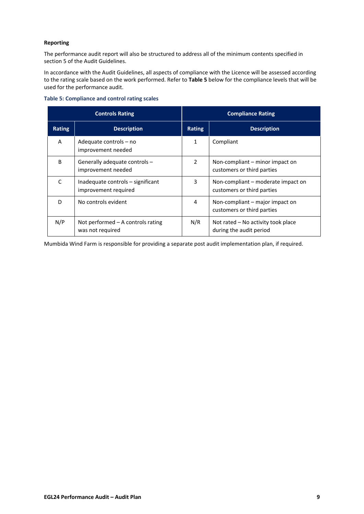#### **Reporting**

The performance audit report will also be structured to address all of the minimum contents specified in section 5 of the Audit Guidelines.

In accordance with the Audit Guidelines, all aspects of compliance with the Licence will be assessed according to the rating scale based on the work performed. Refer to **Table 5** below for the compliance levels that will be used for the performance audit.

|               | <b>Controls Rating</b>                                    | <b>Compliance Rating</b> |                                                                  |  |  |
|---------------|-----------------------------------------------------------|--------------------------|------------------------------------------------------------------|--|--|
| <b>Rating</b> | <b>Description</b>                                        | <b>Rating</b>            | <b>Description</b>                                               |  |  |
| A             | Adequate controls – no<br>improvement needed              | 1                        | Compliant                                                        |  |  |
| B             | Generally adequate controls -<br>improvement needed       | 2                        | Non-compliant – minor impact on<br>customers or third parties    |  |  |
| C             | Inadequate controls – significant<br>improvement required | 3                        | Non-compliant – moderate impact on<br>customers or third parties |  |  |
| D             | No controls evident                                       | 4                        | Non-compliant – major impact on<br>customers or third parties    |  |  |
| N/P           | Not performed $-$ A controls rating<br>was not required   | N/R                      | Not rated – No activity took place<br>during the audit period    |  |  |

#### **Table 5: Compliance and control rating scales**

Mumbida Wind Farm is responsible for providing a separate post audit implementation plan, if required.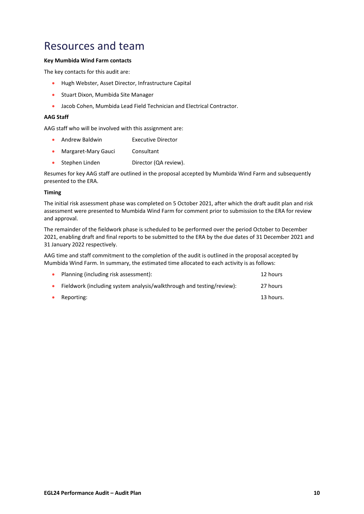## <span id="page-35-0"></span>Resources and team

## **Key Mumbida Wind Farm contacts**

The key contacts for this audit are:

- Hugh Webster, Asset Director, Infrastructure Capital
- Stuart Dixon, Mumbida Site Manager
- Jacob Cohen, Mumbida Lead Field Technician and Electrical Contractor.

#### **AAG Staff**

AAG staff who will be involved with this assignment are:

- Andrew Baldwin Executive Director
- Margaret-Mary Gauci Consultant
- Stephen Linden Director (QA review).

Resumes for key AAG staff are outlined in the proposal accepted by Mumbida Wind Farm and subsequently presented to the ERA.

#### **Timing**

The initial risk assessment phase was completed on 5 October 2021, after which the draft audit plan and risk assessment were presented to Mumbida Wind Farm for comment prior to submission to the ERA for review and approval.

The remainder of the fieldwork phase is scheduled to be performed over the period October to December 2021, enabling draft and final reports to be submitted to the ERA by the due dates of 31 December 2021 and 31 January 2022 respectively.

AAG time and staff commitment to the completion of the audit is outlined in the proposal accepted by Mumbida Wind Farm. In summary, the estimated time allocated to each activity is as follows:

| $\bullet$ | Planning (including risk assessment):                                 | 12 hours  |
|-----------|-----------------------------------------------------------------------|-----------|
|           | Fieldwork (including system analysis/walkthrough and testing/review): | 27 hours  |
| $\bullet$ | Reporting:                                                            | 13 hours. |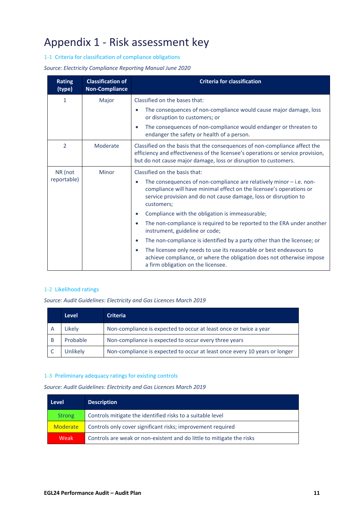# <span id="page-36-0"></span>Appendix 1 - Risk assessment key

1-1 Criteria for classification of compliance obligations

*Source: Electricity Compliance Reporting Manual June 2020* 

| <b>Rating</b><br>(type) | <b>Classification of</b><br><b>Non-Compliance</b>                                                                                                                                               | <b>Criteria for classification</b>                                                                                                                                                                                                          |  |  |  |  |
|-------------------------|-------------------------------------------------------------------------------------------------------------------------------------------------------------------------------------------------|---------------------------------------------------------------------------------------------------------------------------------------------------------------------------------------------------------------------------------------------|--|--|--|--|
| 1                       | Major                                                                                                                                                                                           | Classified on the bases that:                                                                                                                                                                                                               |  |  |  |  |
|                         |                                                                                                                                                                                                 | The consequences of non-compliance would cause major damage, loss<br>or disruption to customers; or                                                                                                                                         |  |  |  |  |
|                         |                                                                                                                                                                                                 | The consequences of non-compliance would endanger or threaten to<br>$\bullet$<br>endanger the safety or health of a person.                                                                                                                 |  |  |  |  |
| 2                       | Moderate                                                                                                                                                                                        | Classified on the basis that the consequences of non-compliance affect the<br>efficiency and effectiveness of the licensee's operations or service provision,<br>but do not cause major damage, loss or disruption to customers.            |  |  |  |  |
| NR (not                 | Minor                                                                                                                                                                                           | Classified on the basis that:                                                                                                                                                                                                               |  |  |  |  |
| reportable)             |                                                                                                                                                                                                 | The consequences of non-compliance are relatively minor $-$ i.e. non-<br>$\bullet$<br>compliance will have minimal effect on the licensee's operations or<br>service provision and do not cause damage, loss or disruption to<br>customers; |  |  |  |  |
|                         |                                                                                                                                                                                                 | Compliance with the obligation is immeasurable;<br>$\bullet$                                                                                                                                                                                |  |  |  |  |
|                         |                                                                                                                                                                                                 | The non-compliance is required to be reported to the ERA under another<br>$\bullet$<br>instrument, guideline or code;                                                                                                                       |  |  |  |  |
|                         |                                                                                                                                                                                                 | The non-compliance is identified by a party other than the licensee; or<br>$\bullet$                                                                                                                                                        |  |  |  |  |
|                         | The licensee only needs to use its reasonable or best endeavours to<br>$\bullet$<br>achieve compliance, or where the obligation does not otherwise impose<br>a firm obligation on the licensee. |                                                                                                                                                                                                                                             |  |  |  |  |

#### 1-2 Likelihood ratings

*Source: Audit Guidelines: Electricity and Gas Licences March 2019*

|   | <b>Level</b> | <b>Criteria</b>                                                            |
|---|--------------|----------------------------------------------------------------------------|
| А | Likely       | Non-compliance is expected to occur at least once or twice a year          |
| B | Probable     | Non-compliance is expected to occur every three years                      |
|   | Unlikely     | Non-compliance is expected to occur at least once every 10 years or longer |

## 1-3 Preliminary adequacy ratings for existing controls

*Source: Audit Guidelines: Electricity and Gas Licences March 2019*

| Level           | <b>Description</b>                                                    |
|-----------------|-----------------------------------------------------------------------|
| <b>Strong</b>   | Controls mitigate the identified risks to a suitable level            |
| <b>Moderate</b> | Controls only cover significant risks; improvement required           |
| <b>Weak</b>     | Controls are weak or non-existent and do little to mitigate the risks |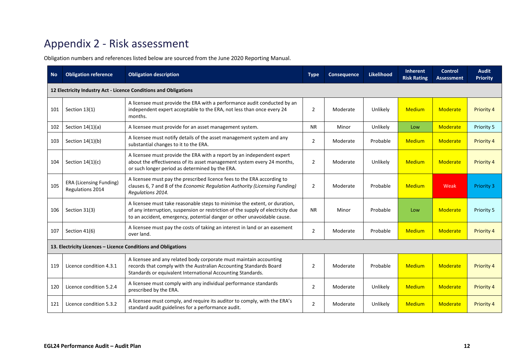## Appendix 2 - Risk assessment

Obligation numbers and references listed below are sourced from the June 2020 Reporting Manual.

<span id="page-37-0"></span>

| <b>No</b> | <b>Obligation reference</b>                                      | <b>Obligation description</b>                                                                                                                                                                                                            | <b>Type</b>    | <b>Consequence</b> | <b>Likelihood</b> | <b>Inherent</b><br><b>Risk Rating</b> | <b>Control</b><br><b>Assessment</b> | <b>Audit</b><br><b>Priority</b> |  |
|-----------|------------------------------------------------------------------|------------------------------------------------------------------------------------------------------------------------------------------------------------------------------------------------------------------------------------------|----------------|--------------------|-------------------|---------------------------------------|-------------------------------------|---------------------------------|--|
|           | 12 Electricity Industry Act - Licence Conditions and Obligations |                                                                                                                                                                                                                                          |                |                    |                   |                                       |                                     |                                 |  |
| 101       | Section 13(1)                                                    | A licensee must provide the ERA with a performance audit conducted by an<br>independent expert acceptable to the ERA, not less than once every 24<br>months.                                                                             | $\overline{2}$ | Moderate           | Unlikely          | <b>Medium</b>                         | <b>Moderate</b>                     | Priority 4                      |  |
| 102       | Section $14(1)(a)$                                               | A licensee must provide for an asset management system.                                                                                                                                                                                  | <b>NR</b>      | Minor              | Unlikely          | Low                                   | Moderate                            | Priority 5                      |  |
| 103       | Section $14(1)(b)$                                               | A licensee must notify details of the asset management system and any<br>substantial changes to it to the ERA.                                                                                                                           | $\overline{2}$ | Moderate           | Probable          | <b>Medium</b>                         | Moderate                            | <b>Priority 4</b>               |  |
| 104       | Section $14(1)(c)$                                               | A licensee must provide the ERA with a report by an independent expert<br>about the effectiveness of its asset management system every 24 months,<br>or such longer period as determined by the ERA.                                     | $\overline{2}$ | Moderate           | Unlikely          | <b>Medium</b>                         | <b>Moderate</b>                     | Priority 4                      |  |
| 105       | <b>ERA (Licensing Funding)</b><br>Regulations 2014               | A licensee must pay the prescribed licence fees to the ERA according to<br>clauses 6, 7 and 8 of the Economic Regulation Authority (Licensing Funding)<br>Regulations 2014.                                                              | 2              | Moderate           | Probable          | <b>Medium</b>                         | Weak                                | <b>Priority 3</b>               |  |
| 106       | Section 31(3)                                                    | A licensee must take reasonable steps to minimise the extent, or duration,<br>of any interruption, suspension or restriction of the supply of electricity due<br>to an accident, emergency, potential danger or other unavoidable cause. | <b>NR</b>      | Minor              | Probable          | Low                                   | <b>Moderate</b>                     | Priority 5                      |  |
| 107       | Section 41(6)                                                    | A licensee must pay the costs of taking an interest in land or an easement<br>over land.                                                                                                                                                 | $\overline{2}$ | Moderate           | Probable          | Medium                                | <b>Moderate</b>                     | <b>Priority 4</b>               |  |
|           | 13. Electricity Licences - Licence Conditions and Obligations    |                                                                                                                                                                                                                                          |                |                    |                   |                                       |                                     |                                 |  |
| 119       | Licence condition 4.3.1                                          | A licensee and any related body corporate must maintain accounting<br>records that comply with the Australian Accounting Standards Board<br>Standards or equivalent International Accounting Standards.                                  | $\overline{2}$ | Moderate           | Probable          | <b>Medium</b>                         | Moderate                            | <b>Priority 4</b>               |  |
| 120       | Licence condition 5.2.4                                          | A licensee must comply with any individual performance standards<br>prescribed by the ERA.                                                                                                                                               | $\overline{2}$ | Moderate           | Unlikely          | <b>Medium</b>                         | Moderate                            | <b>Priority 4</b>               |  |
| 121       | Licence condition 5.3.2                                          | A licensee must comply, and require its auditor to comply, with the ERA's<br>standard audit guidelines for a performance audit.                                                                                                          | $\overline{2}$ | Moderate           | Unlikely          | <b>Medium</b>                         | Moderate                            | <b>Priority 4</b>               |  |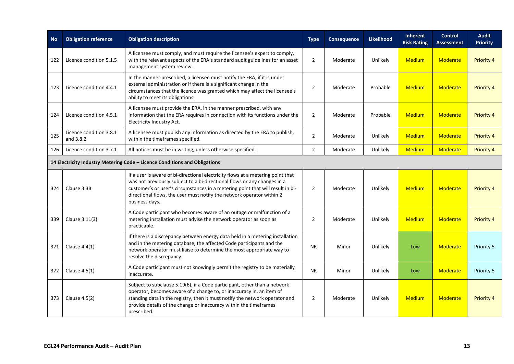| <b>No</b> | <b>Obligation reference</b>          | <b>Obligation description</b>                                                                                                                                                                                                                                                                                                            | <b>Type</b>    | <b>Consequence</b> | <b>Likelihood</b> | <b>Inherent</b><br><b>Risk Rating</b> | <b>Control</b><br><b>Assessment</b> | <b>Audit</b><br><b>Priority</b> |
|-----------|--------------------------------------|------------------------------------------------------------------------------------------------------------------------------------------------------------------------------------------------------------------------------------------------------------------------------------------------------------------------------------------|----------------|--------------------|-------------------|---------------------------------------|-------------------------------------|---------------------------------|
| 122       | Licence condition 5.1.5              | A licensee must comply, and must require the licensee's expert to comply,<br>with the relevant aspects of the ERA's standard audit guidelines for an asset<br>management system review.                                                                                                                                                  | $\overline{2}$ | Moderate           | Unlikely          | <b>Medium</b>                         | Moderate                            | <b>Priority 4</b>               |
| 123       | Licence condition 4.4.1              | In the manner prescribed, a licensee must notify the ERA, if it is under<br>external administration or if there is a significant change in the<br>circumstances that the licence was granted which may affect the licensee's<br>ability to meet its obligations.                                                                         | $\overline{2}$ | Moderate           | Probable          | Medium                                | Moderate                            | Priority 4                      |
| 124       | Licence condition 4.5.1              | A licensee must provide the ERA, in the manner prescribed, with any<br>information that the ERA requires in connection with its functions under the<br>Electricity Industry Act.                                                                                                                                                         | $\overline{2}$ | Moderate           | Probable          | Medium                                | Moderate                            | Priority 4                      |
| 125       | Licence condition 3.8.1<br>and 3.8.2 | A licensee must publish any information as directed by the ERA to publish,<br>within the timeframes specified.                                                                                                                                                                                                                           | $\overline{2}$ | Moderate           | Unlikely          | <b>Medium</b>                         | Moderate                            | Priority 4                      |
| 126       | Licence condition 3.7.1              | All notices must be in writing, unless otherwise specified.                                                                                                                                                                                                                                                                              | $\overline{2}$ | Moderate           | Unlikely          | <b>Medium</b>                         | Moderate                            | <b>Priority 4</b>               |
|           |                                      | 14 Electricity Industry Metering Code - Licence Conditions and Obligations                                                                                                                                                                                                                                                               |                |                    |                   |                                       |                                     |                                 |
| 324       | Clause 3.3B                          | If a user is aware of bi-directional electricity flows at a metering point that<br>was not previously subject to a bi-directional flows or any changes in a<br>customer's or user's circumstances in a metering point that will result in bi-<br>directional flows, the user must notify the network operator within 2<br>business days. | $\overline{2}$ | Moderate           | Unlikely          | Medium                                | Moderate                            | Priority 4                      |
| 339       | Clause 3.11(3)                       | A Code participant who becomes aware of an outage or malfunction of a<br>metering installation must advise the network operator as soon as<br>practicable.                                                                                                                                                                               | $\overline{2}$ | Moderate           | Unlikely          | <b>Medium</b>                         | Moderate                            | Priority 4                      |
| 371       | Clause $4.4(1)$                      | If there is a discrepancy between energy data held in a metering installation<br>and in the metering database, the affected Code participants and the<br>network operator must liaise to determine the most appropriate way to<br>resolve the discrepancy.                                                                               | <b>NR</b>      | Minor              | Unlikely          | Low                                   | Moderate                            | Priority 5                      |
| 372       | Clause $4.5(1)$                      | A Code participant must not knowingly permit the registry to be materially<br>inaccurate.                                                                                                                                                                                                                                                | <b>NR</b>      | Minor              | Unlikely          | Low                                   | Moderate                            | Priority 5                      |
| 373       | Clause 4.5(2)                        | Subject to subclause 5.19(6), if a Code participant, other than a network<br>operator, becomes aware of a change to, or inaccuracy in, an item of<br>standing data in the registry, then it must notify the network operator and<br>provide details of the change or inaccuracy within the timeframes<br>prescribed.                     | $\overline{2}$ | Moderate           | Unlikely          | <b>Medium</b>                         | Moderate                            | Priority 4                      |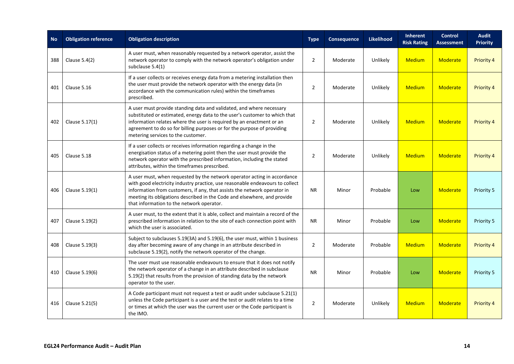| <b>No</b> | <b>Obligation reference</b> | <b>Obligation description</b>                                                                                                                                                                                                                                                                                                                                  | <b>Type</b>    | Consequence | Likelihood | Inherent<br><b>Risk Rating</b> | <b>Control</b><br><b>Assessment</b> | <b>Audit</b><br><b>Priority</b> |
|-----------|-----------------------------|----------------------------------------------------------------------------------------------------------------------------------------------------------------------------------------------------------------------------------------------------------------------------------------------------------------------------------------------------------------|----------------|-------------|------------|--------------------------------|-------------------------------------|---------------------------------|
| 388       | Clause 5.4(2)               | A user must, when reasonably requested by a network operator, assist the<br>network operator to comply with the network operator's obligation under<br>subclause 5.4(1)                                                                                                                                                                                        | $\overline{2}$ | Moderate    | Unlikely   | <b>Medium</b>                  | Moderate                            | <b>Priority 4</b>               |
| 401       | Clause 5.16                 | If a user collects or receives energy data from a metering installation then<br>the user must provide the network operator with the energy data (in<br>accordance with the communication rules) within the timeframes<br>prescribed.                                                                                                                           | $\overline{2}$ | Moderate    | Unlikely   | <b>Medium</b>                  | Moderate                            | Priority 4                      |
| 402       | Clause 5.17(1)              | A user must provide standing data and validated, and where necessary<br>substituted or estimated, energy data to the user's customer to which that<br>information relates where the user is required by an enactment or an<br>agreement to do so for billing purposes or for the purpose of providing<br>metering services to the customer.                    | $\overline{2}$ | Moderate    | Unlikely   | <b>Medium</b>                  | Moderate                            | <b>Priority 4</b>               |
| 405       | Clause 5.18                 | If a user collects or receives information regarding a change in the<br>energisation status of a metering point then the user must provide the<br>network operator with the prescribed information, including the stated<br>attributes, within the timeframes prescribed.                                                                                      | $\overline{2}$ | Moderate    | Unlikely   | <b>Medium</b>                  | Moderate                            | Priority 4                      |
| 406       | Clause 5.19(1)              | A user must, when requested by the network operator acting in accordance<br>with good electricity industry practice, use reasonable endeavours to collect<br>information from customers, if any, that assists the network operator in<br>meeting its obligations described in the Code and elsewhere, and provide<br>that information to the network operator. | <b>NR</b>      | Minor       | Probable   | Low                            | Moderate                            | Priority 5                      |
| 407       | Clause 5.19(2)              | A user must, to the extent that it is able, collect and maintain a record of the<br>prescribed information in relation to the site of each connection point with<br>which the user is associated.                                                                                                                                                              | <b>NR</b>      | Minor       | Probable   | Low                            | Moderate                            | Priority 5                      |
| 408       | Clause 5.19(3)              | Subject to subclauses 5.19(3A) and 5.19(6), the user must, within 1 business<br>day after becoming aware of any change in an attribute described in<br>subclause 5.19(2), notify the network operator of the change.                                                                                                                                           | 2              | Moderate    | Probable   | <b>Medium</b>                  | Moderate                            | Priority 4                      |
| 410       | Clause 5.19(6)              | The user must use reasonable endeavours to ensure that it does not notify<br>the network operator of a change in an attribute described in subclause<br>5.19(2) that results from the provision of standing data by the network<br>operator to the user.                                                                                                       | <b>NR</b>      | Minor       | Probable   | Low                            | Moderate                            | Priority 5                      |
| 416       | Clause 5.21(5)              | A Code participant must not request a test or audit under subclause 5.21(1)<br>unless the Code participant is a user and the test or audit relates to a time<br>or times at which the user was the current user or the Code participant is<br>the IMO.                                                                                                         | $\overline{2}$ | Moderate    | Unlikely   | <b>Medium</b>                  | Moderate                            | Priority 4                      |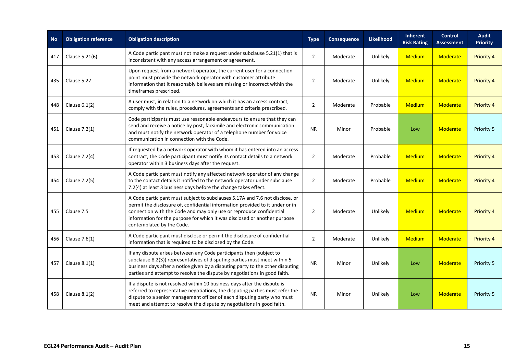| <b>No</b> | <b>Obligation reference</b> | <b>Obligation description</b>                                                                                                                                                                                                                                                                                                                  | <b>Type</b>                            | Consequence | <b>Likelihood</b> | Inherent<br><b>Risk Rating</b> | <b>Control</b><br><b>Assessment</b> | <b>Audit</b><br><b>Priority</b> |
|-----------|-----------------------------|------------------------------------------------------------------------------------------------------------------------------------------------------------------------------------------------------------------------------------------------------------------------------------------------------------------------------------------------|----------------------------------------|-------------|-------------------|--------------------------------|-------------------------------------|---------------------------------|
| 417       | Clause 5.21(6)              | A Code participant must not make a request under subclause 5.21(1) that is<br>inconsistent with any access arrangement or agreement.                                                                                                                                                                                                           | $\overline{2}$                         | Moderate    | Unlikely          | <b>Medium</b>                  | Moderate                            | Priority 4                      |
| 435       | Clause 5.27                 | Upon request from a network operator, the current user for a connection<br>point must provide the network operator with customer attribute<br>information that it reasonably believes are missing or incorrect within the<br>timeframes prescribed.                                                                                            | 2                                      | Moderate    | Unlikely          | <b>Medium</b>                  | Moderate                            | Priority 4                      |
| 448       | Clause $6.1(2)$             | A user must, in relation to a network on which it has an access contract,<br>comply with the rules, procedures, agreements and criteria prescribed.                                                                                                                                                                                            | $\overline{2}$<br>Moderate<br>Probable |             | <b>Medium</b>     | <b>Moderate</b>                | <b>Priority 4</b>                   |                                 |
| 451       | Clause 7.2(1)               | Code participants must use reasonable endeavours to ensure that they can<br>send and receive a notice by post, facsimile and electronic communication<br>and must notify the network operator of a telephone number for voice<br>communication in connection with the Code.                                                                    | <b>NR</b>                              | Minor       | Probable          | Low                            | <b>Moderate</b>                     | Priority 5                      |
| 453       | Clause 7.2(4)               | If requested by a network operator with whom it has entered into an access<br>contract, the Code participant must notify its contact details to a network<br>operator within 3 business days after the request.                                                                                                                                | $\overline{2}$                         | Moderate    | Probable          | <b>Medium</b>                  | Moderate                            | Priority 4                      |
| 454       | Clause 7.2(5)               | A Code participant must notify any affected network operator of any change<br>to the contact details it notified to the network operator under subclause<br>7.2(4) at least 3 business days before the change takes effect.                                                                                                                    | $\overline{2}$                         | Moderate    | Probable          | Medium                         | Moderate                            | <b>Priority 4</b>               |
| 455       | Clause 7.5                  | A Code participant must subject to subclauses 5.17A and 7.6 not disclose, or<br>permit the disclosure of, confidential information provided to it under or in<br>connection with the Code and may only use or reproduce confidential<br>information for the purpose for which it was disclosed or another purpose<br>contemplated by the Code. | $\overline{2}$                         | Moderate    | Unlikely          | <b>Medium</b>                  | Moderate                            | Priority 4                      |
| 456       | Clause 7.6(1)               | A Code participant must disclose or permit the disclosure of confidential<br>information that is required to be disclosed by the Code.                                                                                                                                                                                                         | $\overline{2}$                         | Moderate    | Unlikely          | <b>Medium</b>                  | Moderate                            | <b>Priority 4</b>               |
| 457       | Clause 8.1(1)               | If any dispute arises between any Code participants then (subject to<br>subclause 8.2(3)) representatives of disputing parties must meet within 5<br>business days after a notice given by a disputing party to the other disputing<br>parties and attempt to resolve the dispute by negotiations in good faith.                               | <b>NR</b>                              | Minor       | Unlikely          | Low                            | <b>Moderate</b>                     | Priority 5                      |
| 458       | Clause $8.1(2)$             | If a dispute is not resolved within 10 business days after the dispute is<br>referred to representative negotiations, the disputing parties must refer the<br>dispute to a senior management officer of each disputing party who must<br>meet and attempt to resolve the dispute by negotiations in good faith.                                | <b>NR</b>                              | Minor       | Unlikely          | Low                            | Moderate                            | Priority 5                      |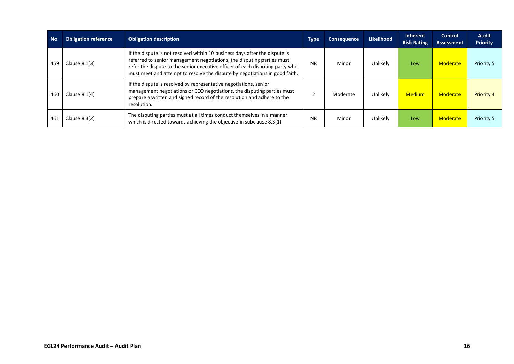| <b>No</b> | <b>Obligation reference</b> | <b>Obligation description</b>                                                                                                                                                                                                                                                                                         | <b>Type</b> | <b>Consequence</b> | <b>Likelihood</b> | Inherent<br><b>Risk Rating</b> | Control<br><b>Assessment</b> | <b>Audit</b><br><b>Priority</b> |
|-----------|-----------------------------|-----------------------------------------------------------------------------------------------------------------------------------------------------------------------------------------------------------------------------------------------------------------------------------------------------------------------|-------------|--------------------|-------------------|--------------------------------|------------------------------|---------------------------------|
| 459       | Clause $8.1(3)$             | If the dispute is not resolved within 10 business days after the dispute is<br>referred to senior management negotiations, the disputing parties must<br>refer the dispute to the senior executive officer of each disputing party who<br>must meet and attempt to resolve the dispute by negotiations in good faith. | <b>NR</b>   | Minor              | Unlikely          | Low                            | Moderate                     | Priority 5                      |
| 460       | Clause $8.1(4)$             | If the dispute is resolved by representative negotiations, senior<br>management negotiations or CEO negotiations, the disputing parties must<br>prepare a written and signed record of the resolution and adhere to the<br>resolution.                                                                                |             | Moderate           | Unlikely          | <b>Medium</b>                  | Moderate                     | Priority 4                      |
| 461       | Clause $8.3(2)$             | The disputing parties must at all times conduct themselves in a manner<br>which is directed towards achieving the objective in subclause 8.3(1).                                                                                                                                                                      | <b>NR</b>   | Minor              | Unlikely          | Low                            | Moderate                     | Priority 5                      |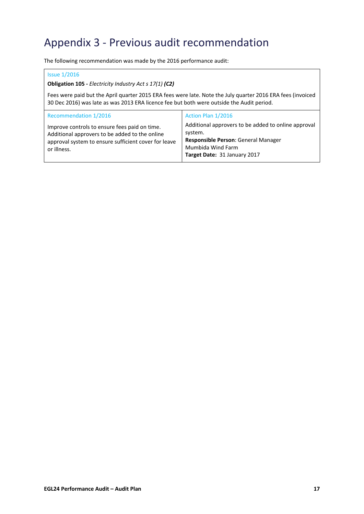# <span id="page-42-0"></span>Appendix 3 - Previous audit recommendation

The following recommendation was made by the 2016 performance audit:

#### Issue 1/2016

**Obligation 105 -** *Electricity Industry Act s 17(1) (C2)*

Fees were paid but the April quarter 2015 ERA fees were late. Note the July quarter 2016 ERA fees (invoiced 30 Dec 2016) was late as was 2013 ERA licence fee but both were outside the Audit period.

| Recommendation 1/2016                                                                                                                                                  | Action Plan 1/2016                                                                                                                                         |
|------------------------------------------------------------------------------------------------------------------------------------------------------------------------|------------------------------------------------------------------------------------------------------------------------------------------------------------|
| Improve controls to ensure fees paid on time.<br>Additional approvers to be added to the online<br>approval system to ensure sufficient cover for leave<br>or illness. | Additional approvers to be added to online approval<br>system.<br>Responsible Person: General Manager<br>Mumbida Wind Farm<br>Target Date: 31 January 2017 |